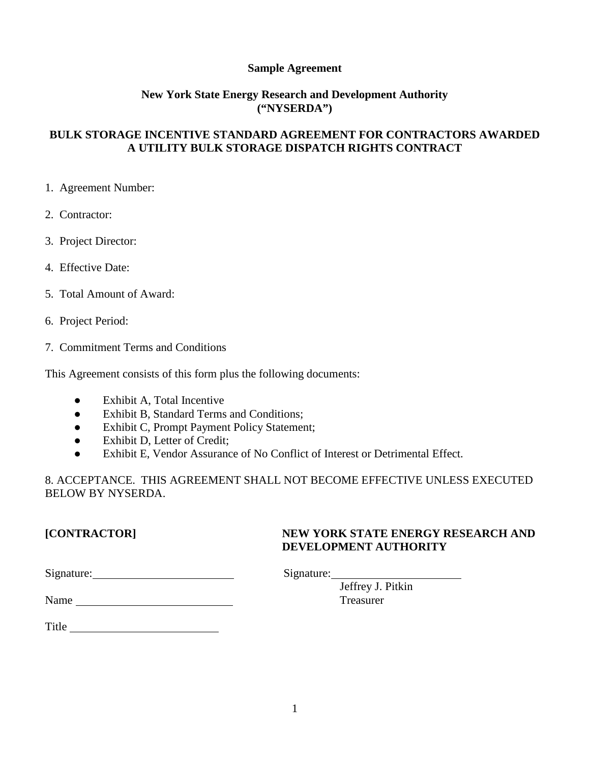# **Sample Agreement**

# **New York State Energy Research and Development Authority ("NYSERDA")**

# **BULK STORAGE INCENTIVE STANDARD AGREEMENT FOR CONTRACTORS AWARDED A UTILITY BULK STORAGE DISPATCH RIGHTS CONTRACT**

- 1. Agreement Number:
- 2. Contractor:
- 3. Project Director:
- 4. Effective Date:
- 5. Total Amount of Award:
- 6. Project Period:
- 7. Commitment Terms and Conditions

This Agreement consists of this form plus the following documents:

- Exhibit A, Total Incentive
- Exhibit B, Standard Terms and Conditions;
- Exhibit C, Prompt Payment Policy Statement;
- Exhibit D, Letter of Credit;
- Exhibit E, Vendor Assurance of No Conflict of Interest or Detrimental Effect.

8. ACCEPTANCE. THIS AGREEMENT SHALL NOT BECOME EFFECTIVE UNLESS EXECUTED BELOW BY NYSERDA.

# **[CONTRACTOR] NEW YORK STATE ENERGY RESEARCH AND DEVELOPMENT AUTHORITY**

Jeffrey J. Pitkin

Name Treasurer

Title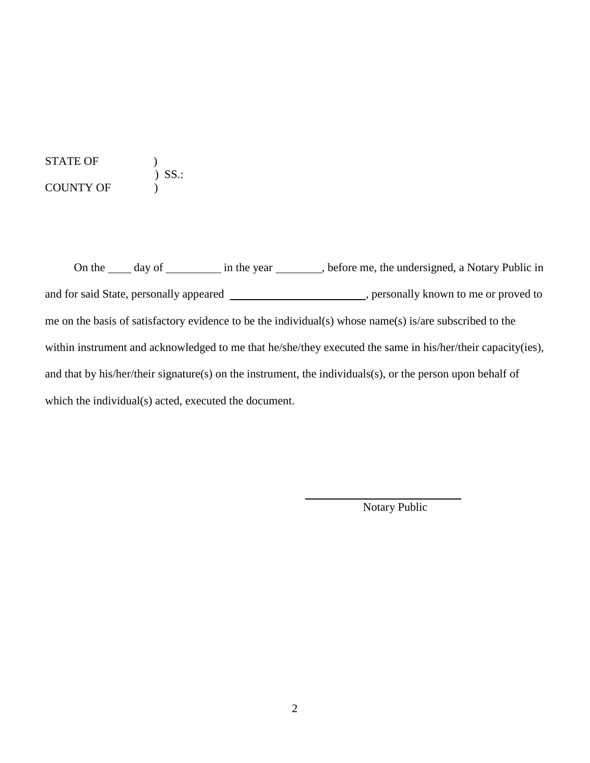STATE OF  $\qquad$  )  $\left( \begin{array}{c} 1 \ 0 \end{array} \right)$  SS.: COUNTY OF )

On the \_\_\_\_\_ day of \_\_\_\_\_\_\_\_\_\_ in the year \_\_\_\_\_\_\_, before me, the undersigned, a Notary Public in and for said State, personally appeared \_\_\_\_\_\_\_\_\_\_\_\_\_\_\_\_\_\_\_\_\_, personally known to me or proved to me on the basis of satisfactory evidence to be the individual(s) whose name(s) is/are subscribed to the within instrument and acknowledged to me that he/she/they executed the same in his/her/their capacity(ies), and that by his/her/their signature(s) on the instrument, the individuals(s), or the person upon behalf of which the individual(s) acted, executed the document.

Notary Public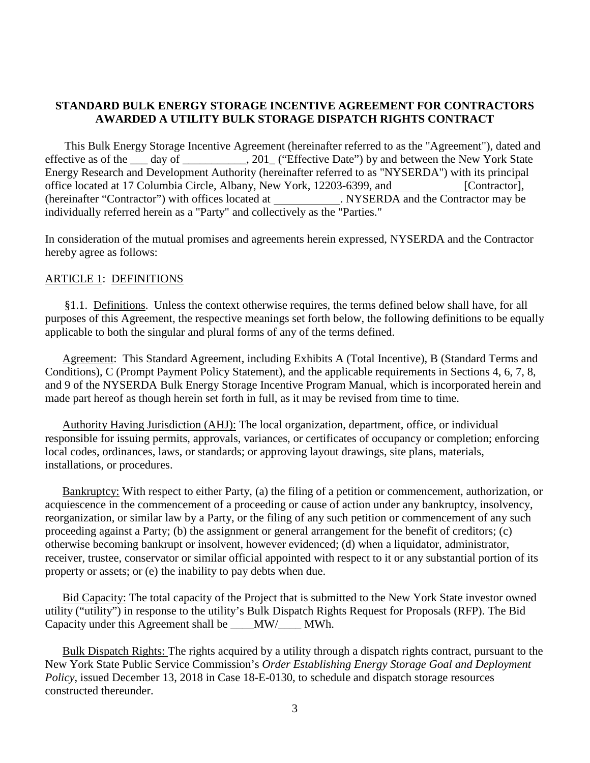# **STANDARD BULK ENERGY STORAGE INCENTIVE AGREEMENT FOR CONTRACTORS AWARDED A UTILITY BULK STORAGE DISPATCH RIGHTS CONTRACT**

This Bulk Energy Storage Incentive Agreement (hereinafter referred to as the "Agreement"), dated and effective as of the \_\_\_ day of \_\_\_\_\_\_\_\_\_\_, 201\_ ("Effective Date") by and between the New York State Energy Research and Development Authority (hereinafter referred to as "NYSERDA") with its principal office located at 17 Columbia Circle, Albany, New York, 12203-6399, and [Contractor], (hereinafter "Contractor") with offices located at \_\_\_\_\_\_\_\_\_\_\_\_. NYSERDA and the Contractor may be individually referred herein as a "Party" and collectively as the "Parties."

In consideration of the mutual promises and agreements herein expressed, NYSERDA and the Contractor hereby agree as follows:

# ARTICLE 1: DEFINITIONS

§1.1. Definitions. Unless the context otherwise requires, the terms defined below shall have, for all purposes of this Agreement, the respective meanings set forth below, the following definitions to be equally applicable to both the singular and plural forms of any of the terms defined.

Agreement: This Standard Agreement, including Exhibits A (Total Incentive), B (Standard Terms and Conditions), C (Prompt Payment Policy Statement), and the applicable requirements in Sections 4, 6, 7, 8, and 9 of the NYSERDA Bulk Energy Storage Incentive Program Manual, which is incorporated herein and made part hereof as though herein set forth in full, as it may be revised from time to time.

Authority Having Jurisdiction (AHJ): The local organization, department, office, or individual responsible for issuing permits, approvals, variances, or certificates of occupancy or completion; enforcing local codes, ordinances, laws, or standards; or approving layout drawings, site plans, materials, installations, or procedures.

Bankruptcy: With respect to either Party, (a) the filing of a petition or commencement, authorization, or acquiescence in the commencement of a proceeding or cause of action under any bankruptcy, insolvency, reorganization, or similar law by a Party, or the filing of any such petition or commencement of any such proceeding against a Party; (b) the assignment or general arrangement for the benefit of creditors; (c) otherwise becoming bankrupt or insolvent, however evidenced; (d) when a liquidator, administrator, receiver, trustee, conservator or similar official appointed with respect to it or any substantial portion of its property or assets; or (e) the inability to pay debts when due.

Bid Capacity: The total capacity of the Project that is submitted to the New York State investor owned utility ("utility") in response to the utility's Bulk Dispatch Rights Request for Proposals (RFP). The Bid Capacity under this Agreement shall be \_\_\_\_MW/\_\_\_\_ MWh.

Bulk Dispatch Rights: The rights acquired by a utility through a dispatch rights contract, pursuant to the New York State Public Service Commission's *Order Establishing Energy Storage Goal and Deployment Policy*, issued December 13, 2018 in Case 18-E-0130, to schedule and dispatch storage resources constructed thereunder.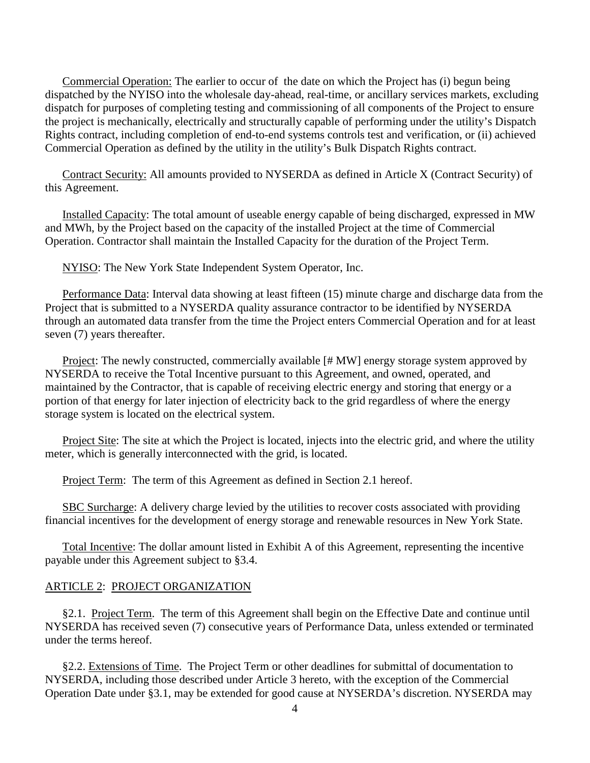Commercial Operation: The earlier to occur of the date on which the Project has (i) begun being dispatched by the NYISO into the wholesale day-ahead, real-time, or ancillary services markets, excluding dispatch for purposes of completing testing and commissioning of all components of the Project to ensure the project is mechanically, electrically and structurally capable of performing under the utility's Dispatch Rights contract, including completion of end-to-end systems controls test and verification, or (ii) achieved Commercial Operation as defined by the utility in the utility's Bulk Dispatch Rights contract.

Contract Security: All amounts provided to NYSERDA as defined in Article X (Contract Security) of this Agreement.

Installed Capacity: The total amount of useable energy capable of being discharged, expressed in MW and MWh, by the Project based on the capacity of the installed Project at the time of Commercial Operation. Contractor shall maintain the Installed Capacity for the duration of the Project Term.

NYISO: The New York State Independent System Operator, Inc.

Performance Data: Interval data showing at least fifteen (15) minute charge and discharge data from the Project that is submitted to a NYSERDA quality assurance contractor to be identified by NYSERDA through an automated data transfer from the time the Project enters Commercial Operation and for at least seven (7) years thereafter.

Project: The newly constructed, commercially available [# MW] energy storage system approved by NYSERDA to receive the Total Incentive pursuant to this Agreement, and owned, operated, and maintained by the Contractor, that is capable of receiving electric energy and storing that energy or a portion of that energy for later injection of electricity back to the grid regardless of where the energy storage system is located on the electrical system.

Project Site: The site at which the Project is located, injects into the electric grid, and where the utility meter, which is generally interconnected with the grid, is located.

Project Term: The term of this Agreement as defined in Section 2.1 hereof.

SBC Surcharge: A delivery charge levied by the utilities to recover costs associated with providing financial incentives for the development of energy storage and renewable resources in New York State.

Total Incentive: The dollar amount listed in Exhibit A of this Agreement, representing the incentive payable under this Agreement subject to §3.4.

### ARTICLE 2: PROJECT ORGANIZATION

§2.1. Project Term. The term of this Agreement shall begin on the Effective Date and continue until NYSERDA has received seven (7) consecutive years of Performance Data, unless extended or terminated under the terms hereof.

§2.2. Extensions of Time. The Project Term or other deadlines for submittal of documentation to NYSERDA, including those described under Article 3 hereto, with the exception of the Commercial Operation Date under §3.1, may be extended for good cause at NYSERDA's discretion. NYSERDA may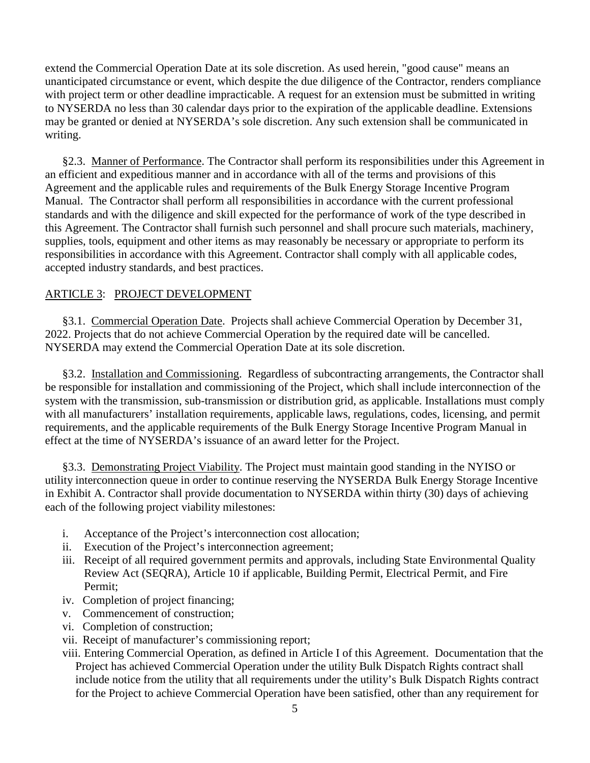extend the Commercial Operation Date at its sole discretion. As used herein, "good cause" means an unanticipated circumstance or event, which despite the due diligence of the Contractor, renders compliance with project term or other deadline impracticable. A request for an extension must be submitted in writing to NYSERDA no less than 30 calendar days prior to the expiration of the applicable deadline. Extensions may be granted or denied at NYSERDA's sole discretion. Any such extension shall be communicated in writing.

§2.3. Manner of Performance. The Contractor shall perform its responsibilities under this Agreement in an efficient and expeditious manner and in accordance with all of the terms and provisions of this Agreement and the applicable rules and requirements of the Bulk Energy Storage Incentive Program Manual. The Contractor shall perform all responsibilities in accordance with the current professional standards and with the diligence and skill expected for the performance of work of the type described in this Agreement. The Contractor shall furnish such personnel and shall procure such materials, machinery, supplies, tools, equipment and other items as may reasonably be necessary or appropriate to perform its responsibilities in accordance with this Agreement. Contractor shall comply with all applicable codes, accepted industry standards, and best practices.

# ARTICLE 3: PROJECT DEVELOPMENT

§3.1. Commercial Operation Date. Projects shall achieve Commercial Operation by December 31, 2022. Projects that do not achieve Commercial Operation by the required date will be cancelled. NYSERDA may extend the Commercial Operation Date at its sole discretion.

§3.2. Installation and Commissioning. Regardless of subcontracting arrangements, the Contractor shall be responsible for installation and commissioning of the Project, which shall include interconnection of the system with the transmission, sub-transmission or distribution grid, as applicable. Installations must comply with all manufacturers' installation requirements, applicable laws, regulations, codes, licensing, and permit requirements, and the applicable requirements of the Bulk Energy Storage Incentive Program Manual in effect at the time of NYSERDA's issuance of an award letter for the Project.

§3.3. Demonstrating Project Viability. The Project must maintain good standing in the NYISO or utility interconnection queue in order to continue reserving the NYSERDA Bulk Energy Storage Incentive in Exhibit A. Contractor shall provide documentation to NYSERDA within thirty (30) days of achieving each of the following project viability milestones:

- i. Acceptance of the Project's interconnection cost allocation;
- ii. Execution of the Project's interconnection agreement;
- iii. Receipt of all required government permits and approvals, including State Environmental Quality Review Act (SEQRA), Article 10 if applicable, Building Permit, Electrical Permit, and Fire Permit;
- iv. Completion of project financing;
- v. Commencement of construction;
- vi. Completion of construction;
- vii. Receipt of manufacturer's commissioning report;

viii. Entering Commercial Operation, as defined in Article I of this Agreement. Documentation that the Project has achieved Commercial Operation under the utility Bulk Dispatch Rights contract shall include notice from the utility that all requirements under the utility's Bulk Dispatch Rights contract for the Project to achieve Commercial Operation have been satisfied, other than any requirement for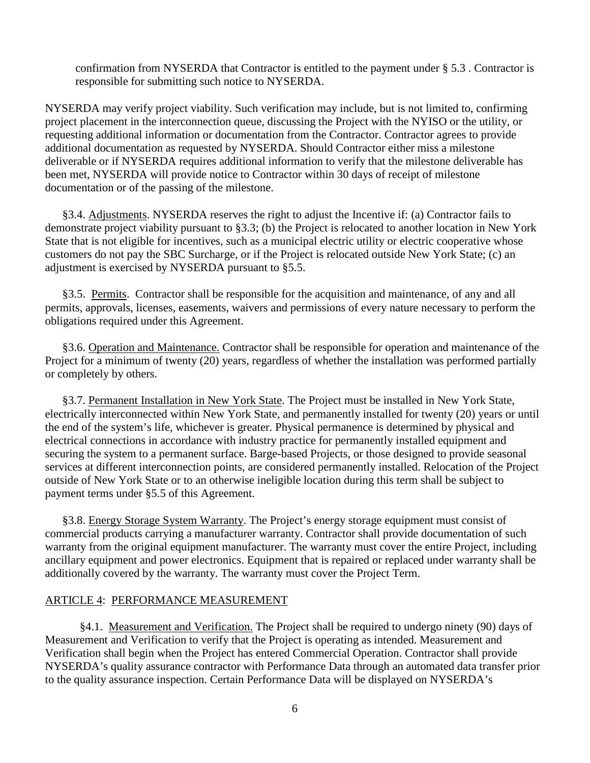confirmation from NYSERDA that Contractor is entitled to the payment under § 5.3 . Contractor is responsible for submitting such notice to NYSERDA.

NYSERDA may verify project viability. Such verification may include, but is not limited to, confirming project placement in the interconnection queue, discussing the Project with the NYISO or the utility, or requesting additional information or documentation from the Contractor. Contractor agrees to provide additional documentation as requested by NYSERDA. Should Contractor either miss a milestone deliverable or if NYSERDA requires additional information to verify that the milestone deliverable has been met, NYSERDA will provide notice to Contractor within 30 days of receipt of milestone documentation or of the passing of the milestone.

§3.4. Adjustments. NYSERDA reserves the right to adjust the Incentive if: (a) Contractor fails to demonstrate project viability pursuant to §3.3; (b) the Project is relocated to another location in New York State that is not eligible for incentives, such as a municipal electric utility or electric cooperative whose customers do not pay the SBC Surcharge, or if the Project is relocated outside New York State; (c) an adjustment is exercised by NYSERDA pursuant to §5.5.

§3.5. Permits. Contractor shall be responsible for the acquisition and maintenance, of any and all permits, approvals, licenses, easements, waivers and permissions of every nature necessary to perform the obligations required under this Agreement.

§3.6. Operation and Maintenance. Contractor shall be responsible for operation and maintenance of the Project for a minimum of twenty (20) years, regardless of whether the installation was performed partially or completely by others.

§3.7. Permanent Installation in New York State. The Project must be installed in New York State, electrically interconnected within New York State, and permanently installed for twenty (20) years or until the end of the system's life, whichever is greater. Physical permanence is determined by physical and electrical connections in accordance with industry practice for permanently installed equipment and securing the system to a permanent surface. Barge-based Projects, or those designed to provide seasonal services at different interconnection points, are considered permanently installed. Relocation of the Project outside of New York State or to an otherwise ineligible location during this term shall be subject to payment terms under §5.5 of this Agreement.

§3.8. Energy Storage System Warranty. The Project's energy storage equipment must consist of commercial products carrying a manufacturer warranty. Contractor shall provide documentation of such warranty from the original equipment manufacturer. The warranty must cover the entire Project, including ancillary equipment and power electronics. Equipment that is repaired or replaced under warranty shall be additionally covered by the warranty. The warranty must cover the Project Term.

# ARTICLE 4: PERFORMANCE MEASUREMENT

§4.1. Measurement and Verification. The Project shall be required to undergo ninety (90) days of Measurement and Verification to verify that the Project is operating as intended. Measurement and Verification shall begin when the Project has entered Commercial Operation. Contractor shall provide NYSERDA's quality assurance contractor with Performance Data through an automated data transfer prior to the quality assurance inspection. Certain Performance Data will be displayed on NYSERDA's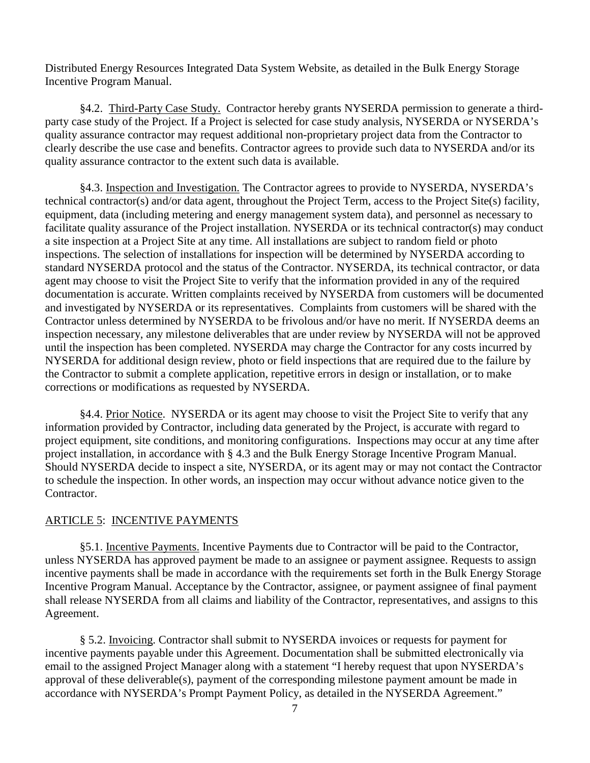Distributed Energy Resources Integrated Data System Website, as detailed in the Bulk Energy Storage Incentive Program Manual.

§4.2. Third-Party Case Study. Contractor hereby grants NYSERDA permission to generate a thirdparty case study of the Project. If a Project is selected for case study analysis, NYSERDA or NYSERDA's quality assurance contractor may request additional non-proprietary project data from the Contractor to clearly describe the use case and benefits. Contractor agrees to provide such data to NYSERDA and/or its quality assurance contractor to the extent such data is available.

§4.3. Inspection and Investigation. The Contractor agrees to provide to NYSERDA, NYSERDA's technical contractor(s) and/or data agent, throughout the Project Term, access to the Project Site(s) facility, equipment, data (including metering and energy management system data), and personnel as necessary to facilitate quality assurance of the Project installation. NYSERDA or its technical contractor(s) may conduct a site inspection at a Project Site at any time. All installations are subject to random field or photo inspections. The selection of installations for inspection will be determined by NYSERDA according to standard NYSERDA protocol and the status of the Contractor. NYSERDA, its technical contractor, or data agent may choose to visit the Project Site to verify that the information provided in any of the required documentation is accurate. Written complaints received by NYSERDA from customers will be documented and investigated by NYSERDA or its representatives. Complaints from customers will be shared with the Contractor unless determined by NYSERDA to be frivolous and/or have no merit. If NYSERDA deems an inspection necessary, any milestone deliverables that are under review by NYSERDA will not be approved until the inspection has been completed. NYSERDA may charge the Contractor for any costs incurred by NYSERDA for additional design review, photo or field inspections that are required due to the failure by the Contractor to submit a complete application, repetitive errors in design or installation, or to make corrections or modifications as requested by NYSERDA.

§4.4. Prior Notice. NYSERDA or its agent may choose to visit the Project Site to verify that any information provided by Contractor, including data generated by the Project, is accurate with regard to project equipment, site conditions, and monitoring configurations. Inspections may occur at any time after project installation, in accordance with § 4.3 and the Bulk Energy Storage Incentive Program Manual. Should NYSERDA decide to inspect a site, NYSERDA, or its agent may or may not contact the Contractor to schedule the inspection. In other words, an inspection may occur without advance notice given to the Contractor.

# ARTICLE 5: INCENTIVE PAYMENTS

§5.1. Incentive Payments. Incentive Payments due to Contractor will be paid to the Contractor, unless NYSERDA has approved payment be made to an assignee or payment assignee. Requests to assign incentive payments shall be made in accordance with the requirements set forth in the Bulk Energy Storage Incentive Program Manual. Acceptance by the Contractor, assignee, or payment assignee of final payment shall release NYSERDA from all claims and liability of the Contractor, representatives, and assigns to this Agreement.

§ 5.2. Invoicing. Contractor shall submit to NYSERDA invoices or requests for payment for incentive payments payable under this Agreement. Documentation shall be submitted electronically via email to the assigned Project Manager along with a statement "I hereby request that upon NYSERDA's approval of these deliverable(s), payment of the corresponding milestone payment amount be made in accordance with NYSERDA's Prompt Payment Policy, as detailed in the NYSERDA Agreement."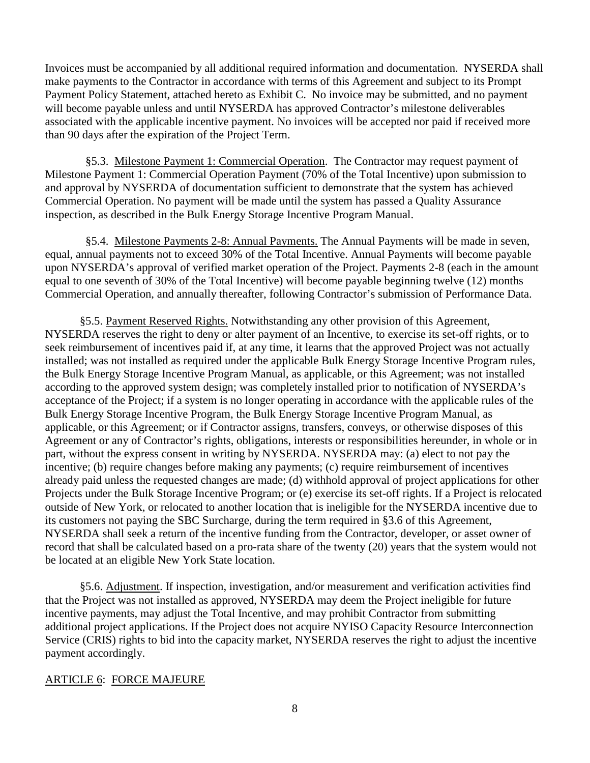Invoices must be accompanied by all additional required information and documentation. NYSERDA shall make payments to the Contractor in accordance with terms of this Agreement and subject to its Prompt Payment Policy Statement, attached hereto as Exhibit C. No invoice may be submitted, and no payment will become payable unless and until NYSERDA has approved Contractor's milestone deliverables associated with the applicable incentive payment. No invoices will be accepted nor paid if received more than 90 days after the expiration of the Project Term.

 §5.3. Milestone Payment 1: Commercial Operation. The Contractor may request payment of Milestone Payment 1: Commercial Operation Payment (70% of the Total Incentive) upon submission to and approval by NYSERDA of documentation sufficient to demonstrate that the system has achieved Commercial Operation. No payment will be made until the system has passed a Quality Assurance inspection, as described in the Bulk Energy Storage Incentive Program Manual.

 §5.4. Milestone Payments 2-8: Annual Payments. The Annual Payments will be made in seven, equal, annual payments not to exceed 30% of the Total Incentive. Annual Payments will become payable upon NYSERDA's approval of verified market operation of the Project. Payments 2-8 (each in the amount equal to one seventh of 30% of the Total Incentive) will become payable beginning twelve (12) months Commercial Operation, and annually thereafter, following Contractor's submission of Performance Data.

§5.5. Payment Reserved Rights. Notwithstanding any other provision of this Agreement, NYSERDA reserves the right to deny or alter payment of an Incentive, to exercise its set-off rights, or to seek reimbursement of incentives paid if, at any time, it learns that the approved Project was not actually installed; was not installed as required under the applicable Bulk Energy Storage Incentive Program rules, the Bulk Energy Storage Incentive Program Manual, as applicable, or this Agreement; was not installed according to the approved system design; was completely installed prior to notification of NYSERDA's acceptance of the Project; if a system is no longer operating in accordance with the applicable rules of the Bulk Energy Storage Incentive Program, the Bulk Energy Storage Incentive Program Manual, as applicable, or this Agreement; or if Contractor assigns, transfers, conveys, or otherwise disposes of this Agreement or any of Contractor's rights, obligations, interests or responsibilities hereunder, in whole or in part, without the express consent in writing by NYSERDA. NYSERDA may: (a) elect to not pay the incentive; (b) require changes before making any payments; (c) require reimbursement of incentives already paid unless the requested changes are made; (d) withhold approval of project applications for other Projects under the Bulk Storage Incentive Program; or (e) exercise its set-off rights. If a Project is relocated outside of New York, or relocated to another location that is ineligible for the NYSERDA incentive due to its customers not paying the SBC Surcharge, during the term required in §3.6 of this Agreement, NYSERDA shall seek a return of the incentive funding from the Contractor, developer, or asset owner of record that shall be calculated based on a pro-rata share of the twenty (20) years that the system would not be located at an eligible New York State location.

§5.6. Adjustment. If inspection, investigation, and/or measurement and verification activities find that the Project was not installed as approved, NYSERDA may deem the Project ineligible for future incentive payments, may adjust the Total Incentive, and may prohibit Contractor from submitting additional project applications. If the Project does not acquire NYISO Capacity Resource Interconnection Service (CRIS) rights to bid into the capacity market, NYSERDA reserves the right to adjust the incentive payment accordingly.

# ARTICLE 6: FORCE MAJEURE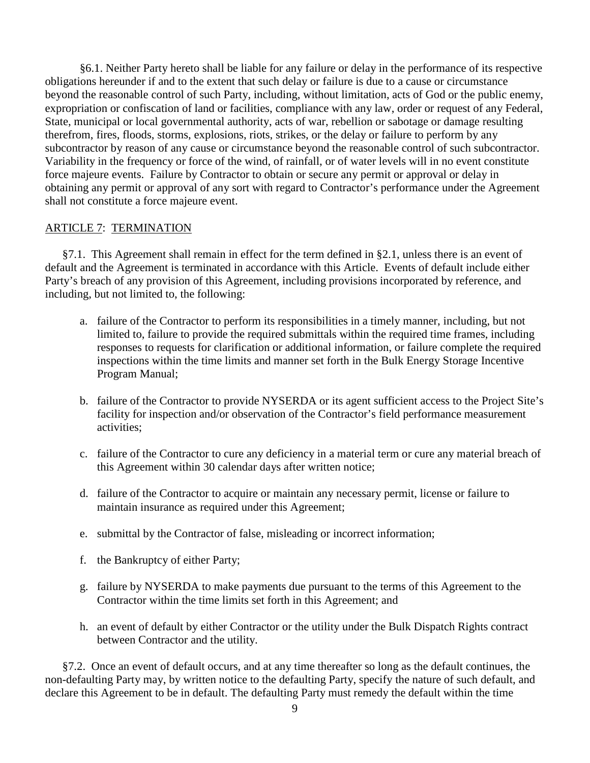§6.1. Neither Party hereto shall be liable for any failure or delay in the performance of its respective obligations hereunder if and to the extent that such delay or failure is due to a cause or circumstance beyond the reasonable control of such Party, including, without limitation, acts of God or the public enemy, expropriation or confiscation of land or facilities, compliance with any law, order or request of any Federal, State, municipal or local governmental authority, acts of war, rebellion or sabotage or damage resulting therefrom, fires, floods, storms, explosions, riots, strikes, or the delay or failure to perform by any subcontractor by reason of any cause or circumstance beyond the reasonable control of such subcontractor. Variability in the frequency or force of the wind, of rainfall, or of water levels will in no event constitute force majeure events. Failure by Contractor to obtain or secure any permit or approval or delay in obtaining any permit or approval of any sort with regard to Contractor's performance under the Agreement shall not constitute a force majeure event.

# ARTICLE 7: TERMINATION

§7.1. This Agreement shall remain in effect for the term defined in §2.1, unless there is an event of default and the Agreement is terminated in accordance with this Article. Events of default include either Party's breach of any provision of this Agreement, including provisions incorporated by reference, and including, but not limited to, the following:

- a. failure of the Contractor to perform its responsibilities in a timely manner, including, but not limited to, failure to provide the required submittals within the required time frames, including responses to requests for clarification or additional information, or failure complete the required inspections within the time limits and manner set forth in the Bulk Energy Storage Incentive Program Manual;
- b. failure of the Contractor to provide NYSERDA or its agent sufficient access to the Project Site's facility for inspection and/or observation of the Contractor's field performance measurement activities;
- c. failure of the Contractor to cure any deficiency in a material term or cure any material breach of this Agreement within 30 calendar days after written notice;
- d. failure of the Contractor to acquire or maintain any necessary permit, license or failure to maintain insurance as required under this Agreement;
- e. submittal by the Contractor of false, misleading or incorrect information;
- f. the Bankruptcy of either Party;
- g. failure by NYSERDA to make payments due pursuant to the terms of this Agreement to the Contractor within the time limits set forth in this Agreement; and
- h. an event of default by either Contractor or the utility under the Bulk Dispatch Rights contract between Contractor and the utility.

§7.2. Once an event of default occurs, and at any time thereafter so long as the default continues, the non-defaulting Party may, by written notice to the defaulting Party, specify the nature of such default, and declare this Agreement to be in default. The defaulting Party must remedy the default within the time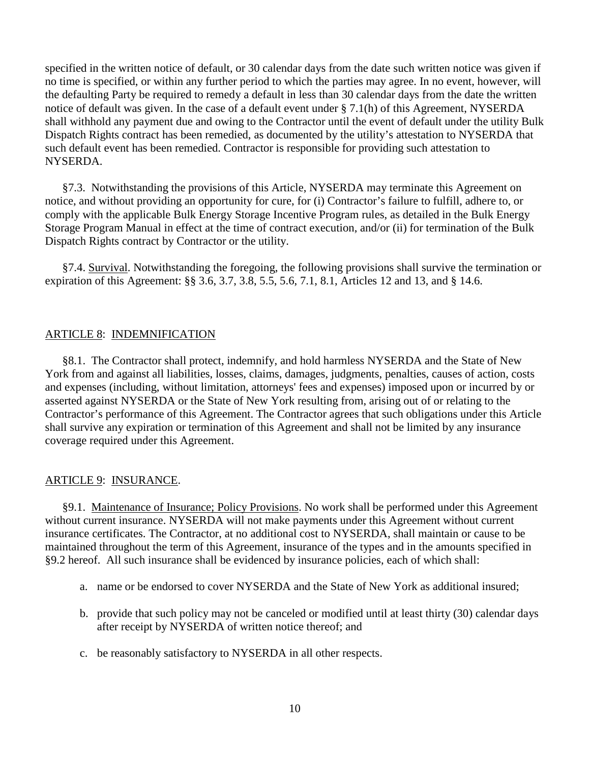specified in the written notice of default, or 30 calendar days from the date such written notice was given if no time is specified, or within any further period to which the parties may agree. In no event, however, will the defaulting Party be required to remedy a default in less than 30 calendar days from the date the written notice of default was given. In the case of a default event under § 7.1(h) of this Agreement, NYSERDA shall withhold any payment due and owing to the Contractor until the event of default under the utility Bulk Dispatch Rights contract has been remedied, as documented by the utility's attestation to NYSERDA that such default event has been remedied. Contractor is responsible for providing such attestation to NYSERDA.

§7.3. Notwithstanding the provisions of this Article, NYSERDA may terminate this Agreement on notice, and without providing an opportunity for cure, for (i) Contractor's failure to fulfill, adhere to, or comply with the applicable Bulk Energy Storage Incentive Program rules, as detailed in the Bulk Energy Storage Program Manual in effect at the time of contract execution, and/or (ii) for termination of the Bulk Dispatch Rights contract by Contractor or the utility.

§7.4. Survival. Notwithstanding the foregoing, the following provisions shall survive the termination or expiration of this Agreement: §§ 3.6, 3.7, 3.8, 5.5, 5.6, 7.1, 8.1, Articles 12 and 13, and § 14.6.

# ARTICLE 8: INDEMNIFICATION

§8.1. The Contractor shall protect, indemnify, and hold harmless NYSERDA and the State of New York from and against all liabilities, losses, claims, damages, judgments, penalties, causes of action, costs and expenses (including, without limitation, attorneys' fees and expenses) imposed upon or incurred by or asserted against NYSERDA or the State of New York resulting from, arising out of or relating to the Contractor's performance of this Agreement. The Contractor agrees that such obligations under this Article shall survive any expiration or termination of this Agreement and shall not be limited by any insurance coverage required under this Agreement.

# ARTICLE 9: INSURANCE.

§9.1. Maintenance of Insurance; Policy Provisions. No work shall be performed under this Agreement without current insurance. NYSERDA will not make payments under this Agreement without current insurance certificates. The Contractor, at no additional cost to NYSERDA, shall maintain or cause to be maintained throughout the term of this Agreement, insurance of the types and in the amounts specified in §9.2 hereof. All such insurance shall be evidenced by insurance policies, each of which shall:

- a. name or be endorsed to cover NYSERDA and the State of New York as additional insured;
- b. provide that such policy may not be canceled or modified until at least thirty (30) calendar days after receipt by NYSERDA of written notice thereof; and
- c. be reasonably satisfactory to NYSERDA in all other respects.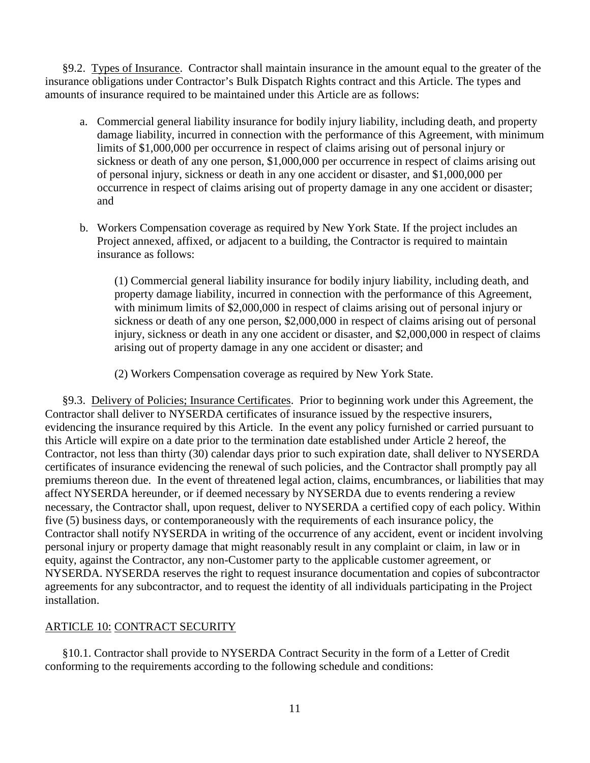§9.2. Types of Insurance. Contractor shall maintain insurance in the amount equal to the greater of the insurance obligations under Contractor's Bulk Dispatch Rights contract and this Article. The types and amounts of insurance required to be maintained under this Article are as follows:

- a. Commercial general liability insurance for bodily injury liability, including death, and property damage liability, incurred in connection with the performance of this Agreement, with minimum limits of \$1,000,000 per occurrence in respect of claims arising out of personal injury or sickness or death of any one person, \$1,000,000 per occurrence in respect of claims arising out of personal injury, sickness or death in any one accident or disaster, and \$1,000,000 per occurrence in respect of claims arising out of property damage in any one accident or disaster; and
- b. Workers Compensation coverage as required by New York State. If the project includes an Project annexed, affixed, or adjacent to a building, the Contractor is required to maintain insurance as follows:

(1) Commercial general liability insurance for bodily injury liability, including death, and property damage liability, incurred in connection with the performance of this Agreement, with minimum limits of \$2,000,000 in respect of claims arising out of personal injury or sickness or death of any one person, \$2,000,000 in respect of claims arising out of personal injury, sickness or death in any one accident or disaster, and \$2,000,000 in respect of claims arising out of property damage in any one accident or disaster; and

(2) Workers Compensation coverage as required by New York State.

§9.3. Delivery of Policies; Insurance Certificates. Prior to beginning work under this Agreement, the Contractor shall deliver to NYSERDA certificates of insurance issued by the respective insurers, evidencing the insurance required by this Article. In the event any policy furnished or carried pursuant to this Article will expire on a date prior to the termination date established under Article 2 hereof, the Contractor, not less than thirty (30) calendar days prior to such expiration date, shall deliver to NYSERDA certificates of insurance evidencing the renewal of such policies, and the Contractor shall promptly pay all premiums thereon due. In the event of threatened legal action, claims, encumbrances, or liabilities that may affect NYSERDA hereunder, or if deemed necessary by NYSERDA due to events rendering a review necessary, the Contractor shall, upon request, deliver to NYSERDA a certified copy of each policy. Within five (5) business days, or contemporaneously with the requirements of each insurance policy, the Contractor shall notify NYSERDA in writing of the occurrence of any accident, event or incident involving personal injury or property damage that might reasonably result in any complaint or claim, in law or in equity, against the Contractor, any non-Customer party to the applicable customer agreement, or NYSERDA. NYSERDA reserves the right to request insurance documentation and copies of subcontractor agreements for any subcontractor, and to request the identity of all individuals participating in the Project installation.

# ARTICLE 10: CONTRACT SECURITY

§10.1. Contractor shall provide to NYSERDA Contract Security in the form of a Letter of Credit conforming to the requirements according to the following schedule and conditions: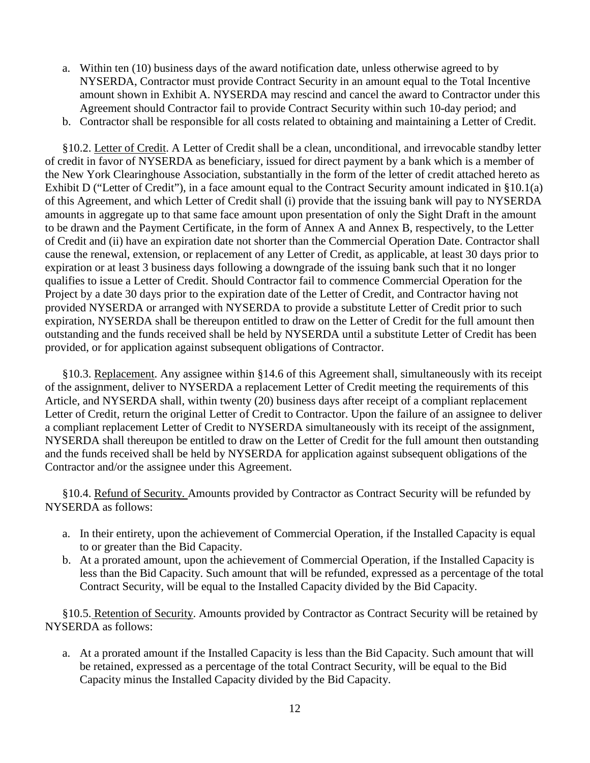- a. Within ten (10) business days of the award notification date, unless otherwise agreed to by NYSERDA, Contractor must provide Contract Security in an amount equal to the Total Incentive amount shown in Exhibit A. NYSERDA may rescind and cancel the award to Contractor under this Agreement should Contractor fail to provide Contract Security within such 10-day period; and
- b. Contractor shall be responsible for all costs related to obtaining and maintaining a Letter of Credit.

§10.2. Letter of Credit. A Letter of Credit shall be a clean, unconditional, and irrevocable standby letter of credit in favor of NYSERDA as beneficiary, issued for direct payment by a bank which is a member of the New York Clearinghouse Association, substantially in the form of the letter of credit attached hereto as Exhibit D ("Letter of Credit"), in a face amount equal to the Contract Security amount indicated in §10.1(a) of this Agreement, and which Letter of Credit shall (i) provide that the issuing bank will pay to NYSERDA amounts in aggregate up to that same face amount upon presentation of only the Sight Draft in the amount to be drawn and the Payment Certificate, in the form of Annex A and Annex B, respectively, to the Letter of Credit and (ii) have an expiration date not shorter than the Commercial Operation Date. Contractor shall cause the renewal, extension, or replacement of any Letter of Credit, as applicable, at least 30 days prior to expiration or at least 3 business days following a downgrade of the issuing bank such that it no longer qualifies to issue a Letter of Credit. Should Contractor fail to commence Commercial Operation for the Project by a date 30 days prior to the expiration date of the Letter of Credit, and Contractor having not provided NYSERDA or arranged with NYSERDA to provide a substitute Letter of Credit prior to such expiration, NYSERDA shall be thereupon entitled to draw on the Letter of Credit for the full amount then outstanding and the funds received shall be held by NYSERDA until a substitute Letter of Credit has been provided, or for application against subsequent obligations of Contractor.

§10.3. Replacement. Any assignee within §14.6 of this Agreement shall, simultaneously with its receipt of the assignment, deliver to NYSERDA a replacement Letter of Credit meeting the requirements of this Article, and NYSERDA shall, within twenty (20) business days after receipt of a compliant replacement Letter of Credit, return the original Letter of Credit to Contractor. Upon the failure of an assignee to deliver a compliant replacement Letter of Credit to NYSERDA simultaneously with its receipt of the assignment, NYSERDA shall thereupon be entitled to draw on the Letter of Credit for the full amount then outstanding and the funds received shall be held by NYSERDA for application against subsequent obligations of the Contractor and/or the assignee under this Agreement.

§10.4. Refund of Security. Amounts provided by Contractor as Contract Security will be refunded by NYSERDA as follows:

- a. In their entirety, upon the achievement of Commercial Operation, if the Installed Capacity is equal to or greater than the Bid Capacity.
- b. At a prorated amount, upon the achievement of Commercial Operation, if the Installed Capacity is less than the Bid Capacity. Such amount that will be refunded, expressed as a percentage of the total Contract Security, will be equal to the Installed Capacity divided by the Bid Capacity.

§10.5. Retention of Security. Amounts provided by Contractor as Contract Security will be retained by NYSERDA as follows:

a. At a prorated amount if the Installed Capacity is less than the Bid Capacity. Such amount that will be retained, expressed as a percentage of the total Contract Security, will be equal to the Bid Capacity minus the Installed Capacity divided by the Bid Capacity.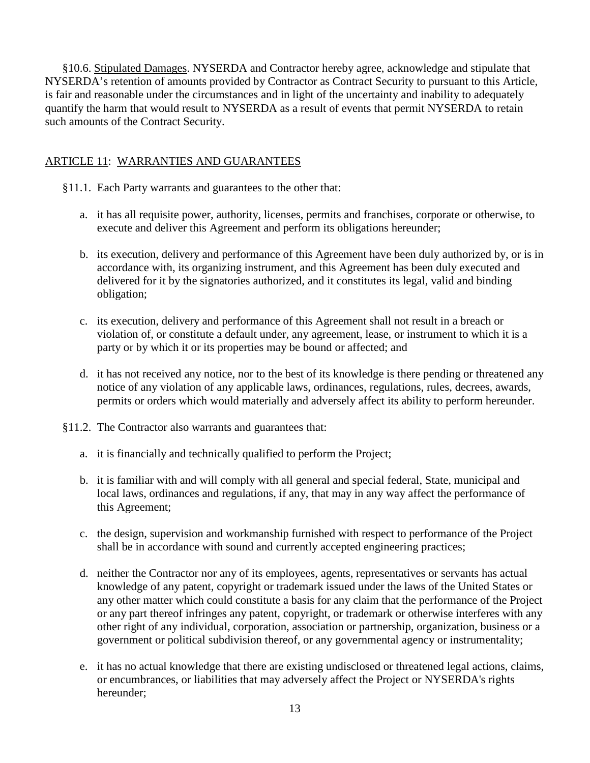§10.6. Stipulated Damages. NYSERDA and Contractor hereby agree, acknowledge and stipulate that NYSERDA's retention of amounts provided by Contractor as Contract Security to pursuant to this Article, is fair and reasonable under the circumstances and in light of the uncertainty and inability to adequately quantify the harm that would result to NYSERDA as a result of events that permit NYSERDA to retain such amounts of the Contract Security.

# ARTICLE 11: WARRANTIES AND GUARANTEES

- §11.1. Each Party warrants and guarantees to the other that:
	- a. it has all requisite power, authority, licenses, permits and franchises, corporate or otherwise, to execute and deliver this Agreement and perform its obligations hereunder;
	- b. its execution, delivery and performance of this Agreement have been duly authorized by, or is in accordance with, its organizing instrument, and this Agreement has been duly executed and delivered for it by the signatories authorized, and it constitutes its legal, valid and binding obligation;
	- c. its execution, delivery and performance of this Agreement shall not result in a breach or violation of, or constitute a default under, any agreement, lease, or instrument to which it is a party or by which it or its properties may be bound or affected; and
	- d. it has not received any notice, nor to the best of its knowledge is there pending or threatened any notice of any violation of any applicable laws, ordinances, regulations, rules, decrees, awards, permits or orders which would materially and adversely affect its ability to perform hereunder.
- §11.2. The Contractor also warrants and guarantees that:
	- a. it is financially and technically qualified to perform the Project;
	- b. it is familiar with and will comply with all general and special federal, State, municipal and local laws, ordinances and regulations, if any, that may in any way affect the performance of this Agreement;
	- c. the design, supervision and workmanship furnished with respect to performance of the Project shall be in accordance with sound and currently accepted engineering practices;
	- d. neither the Contractor nor any of its employees, agents, representatives or servants has actual knowledge of any patent, copyright or trademark issued under the laws of the United States or any other matter which could constitute a basis for any claim that the performance of the Project or any part thereof infringes any patent, copyright, or trademark or otherwise interferes with any other right of any individual, corporation, association or partnership, organization, business or a government or political subdivision thereof, or any governmental agency or instrumentality;
	- e. it has no actual knowledge that there are existing undisclosed or threatened legal actions, claims, or encumbrances, or liabilities that may adversely affect the Project or NYSERDA's rights hereunder;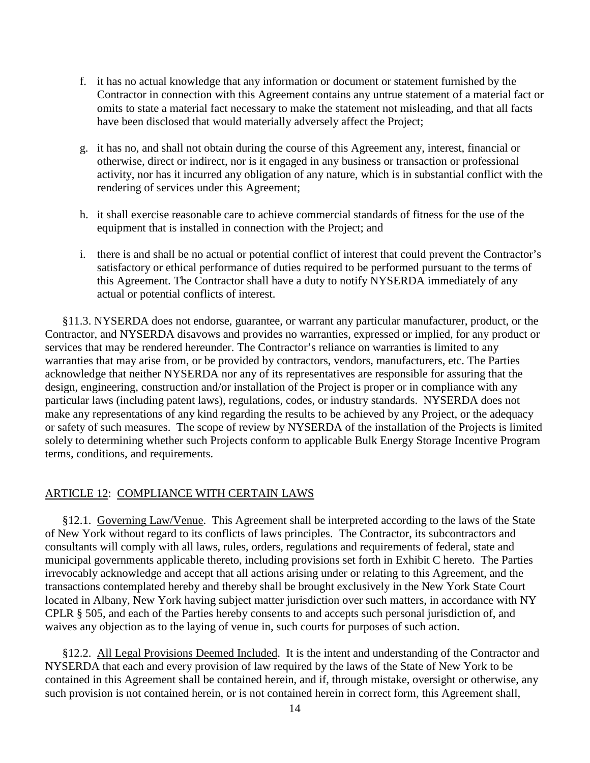- f. it has no actual knowledge that any information or document or statement furnished by the Contractor in connection with this Agreement contains any untrue statement of a material fact or omits to state a material fact necessary to make the statement not misleading, and that all facts have been disclosed that would materially adversely affect the Project;
- g. it has no, and shall not obtain during the course of this Agreement any, interest, financial or otherwise, direct or indirect, nor is it engaged in any business or transaction or professional activity, nor has it incurred any obligation of any nature, which is in substantial conflict with the rendering of services under this Agreement;
- h. it shall exercise reasonable care to achieve commercial standards of fitness for the use of the equipment that is installed in connection with the Project; and
- i. there is and shall be no actual or potential conflict of interest that could prevent the Contractor's satisfactory or ethical performance of duties required to be performed pursuant to the terms of this Agreement. The Contractor shall have a duty to notify NYSERDA immediately of any actual or potential conflicts of interest.

§11.3. NYSERDA does not endorse, guarantee, or warrant any particular manufacturer, product, or the Contractor, and NYSERDA disavows and provides no warranties, expressed or implied, for any product or services that may be rendered hereunder. The Contractor's reliance on warranties is limited to any warranties that may arise from, or be provided by contractors, vendors, manufacturers, etc. The Parties acknowledge that neither NYSERDA nor any of its representatives are responsible for assuring that the design, engineering, construction and/or installation of the Project is proper or in compliance with any particular laws (including patent laws), regulations, codes, or industry standards. NYSERDA does not make any representations of any kind regarding the results to be achieved by any Project, or the adequacy or safety of such measures. The scope of review by NYSERDA of the installation of the Projects is limited solely to determining whether such Projects conform to applicable Bulk Energy Storage Incentive Program terms, conditions, and requirements.

# ARTICLE 12: COMPLIANCE WITH CERTAIN LAWS

§12.1. Governing Law/Venue. This Agreement shall be interpreted according to the laws of the State of New York without regard to its conflicts of laws principles. The Contractor, its subcontractors and consultants will comply with all laws, rules, orders, regulations and requirements of federal, state and municipal governments applicable thereto, including provisions set forth in Exhibit C hereto. The Parties irrevocably acknowledge and accept that all actions arising under or relating to this Agreement, and the transactions contemplated hereby and thereby shall be brought exclusively in the New York State Court located in Albany, New York having subject matter jurisdiction over such matters, in accordance with NY CPLR § 505, and each of the Parties hereby consents to and accepts such personal jurisdiction of, and waives any objection as to the laying of venue in, such courts for purposes of such action.

§12.2. All Legal Provisions Deemed Included. It is the intent and understanding of the Contractor and NYSERDA that each and every provision of law required by the laws of the State of New York to be contained in this Agreement shall be contained herein, and if, through mistake, oversight or otherwise, any such provision is not contained herein, or is not contained herein in correct form, this Agreement shall,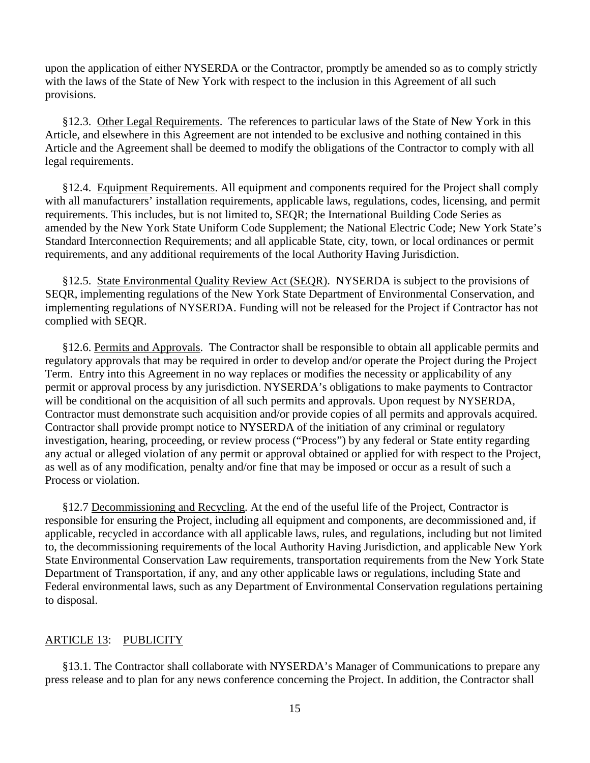upon the application of either NYSERDA or the Contractor, promptly be amended so as to comply strictly with the laws of the State of New York with respect to the inclusion in this Agreement of all such provisions.

§12.3. Other Legal Requirements. The references to particular laws of the State of New York in this Article, and elsewhere in this Agreement are not intended to be exclusive and nothing contained in this Article and the Agreement shall be deemed to modify the obligations of the Contractor to comply with all legal requirements.

§12.4. Equipment Requirements. All equipment and components required for the Project shall comply with all manufacturers' installation requirements, applicable laws, regulations, codes, licensing, and permit requirements. This includes, but is not limited to, SEQR; the International Building Code Series as amended by the New York State Uniform Code Supplement; the National Electric Code; New York State's Standard Interconnection Requirements; and all applicable State, city, town, or local ordinances or permit requirements, and any additional requirements of the local Authority Having Jurisdiction.

§12.5. State Environmental Quality Review Act (SEQR). NYSERDA is subject to the provisions of SEQR, implementing regulations of the New York State Department of Environmental Conservation, and implementing regulations of NYSERDA. Funding will not be released for the Project if Contractor has not complied with SEQR.

§12.6. Permits and Approvals. The Contractor shall be responsible to obtain all applicable permits and regulatory approvals that may be required in order to develop and/or operate the Project during the Project Term. Entry into this Agreement in no way replaces or modifies the necessity or applicability of any permit or approval process by any jurisdiction. NYSERDA's obligations to make payments to Contractor will be conditional on the acquisition of all such permits and approvals. Upon request by NYSERDA, Contractor must demonstrate such acquisition and/or provide copies of all permits and approvals acquired. Contractor shall provide prompt notice to NYSERDA of the initiation of any criminal or regulatory investigation, hearing, proceeding, or review process ("Process") by any federal or State entity regarding any actual or alleged violation of any permit or approval obtained or applied for with respect to the Project, as well as of any modification, penalty and/or fine that may be imposed or occur as a result of such a Process or violation.

§12.7 Decommissioning and Recycling. At the end of the useful life of the Project, Contractor is responsible for ensuring the Project, including all equipment and components, are decommissioned and, if applicable, recycled in accordance with all applicable laws, rules, and regulations, including but not limited to, the decommissioning requirements of the local Authority Having Jurisdiction, and applicable New York State Environmental Conservation Law requirements, transportation requirements from the New York State Department of Transportation, if any, and any other applicable laws or regulations, including State and Federal environmental laws, such as any Department of Environmental Conservation regulations pertaining to disposal.

# ARTICLE 13: PUBLICITY

§13.1. The Contractor shall collaborate with NYSERDA's Manager of Communications to prepare any press release and to plan for any news conference concerning the Project. In addition, the Contractor shall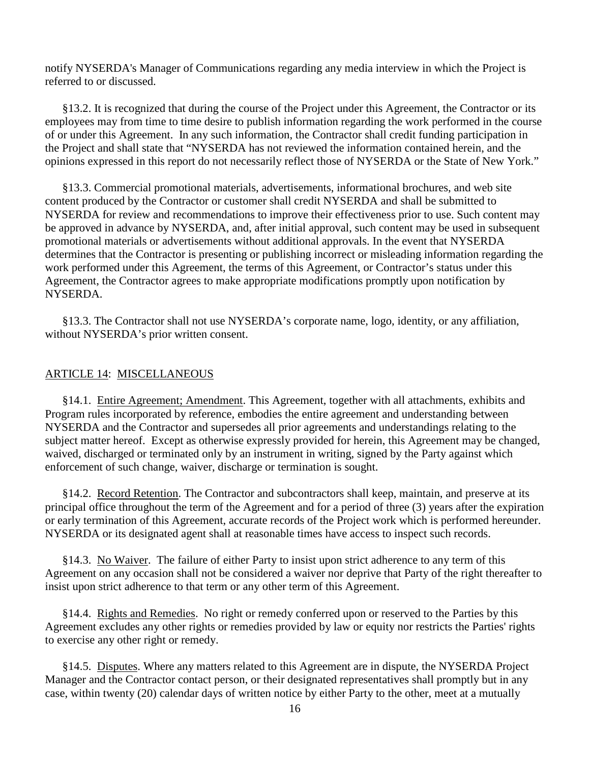notify NYSERDA's Manager of Communications regarding any media interview in which the Project is referred to or discussed.

§13.2. It is recognized that during the course of the Project under this Agreement, the Contractor or its employees may from time to time desire to publish information regarding the work performed in the course of or under this Agreement. In any such information, the Contractor shall credit funding participation in the Project and shall state that "NYSERDA has not reviewed the information contained herein, and the opinions expressed in this report do not necessarily reflect those of NYSERDA or the State of New York."

§13.3. Commercial promotional materials, advertisements, informational brochures, and web site content produced by the Contractor or customer shall credit NYSERDA and shall be submitted to NYSERDA for review and recommendations to improve their effectiveness prior to use. Such content may be approved in advance by NYSERDA, and, after initial approval, such content may be used in subsequent promotional materials or advertisements without additional approvals. In the event that NYSERDA determines that the Contractor is presenting or publishing incorrect or misleading information regarding the work performed under this Agreement, the terms of this Agreement, or Contractor's status under this Agreement, the Contractor agrees to make appropriate modifications promptly upon notification by NYSERDA.

§13.3. The Contractor shall not use NYSERDA's corporate name, logo, identity, or any affiliation, without NYSERDA's prior written consent.

### ARTICLE 14: MISCELLANEOUS

§14.1. Entire Agreement; Amendment. This Agreement, together with all attachments, exhibits and Program rules incorporated by reference, embodies the entire agreement and understanding between NYSERDA and the Contractor and supersedes all prior agreements and understandings relating to the subject matter hereof. Except as otherwise expressly provided for herein, this Agreement may be changed, waived, discharged or terminated only by an instrument in writing, signed by the Party against which enforcement of such change, waiver, discharge or termination is sought.

§14.2. Record Retention. The Contractor and subcontractors shall keep, maintain, and preserve at its principal office throughout the term of the Agreement and for a period of three (3) years after the expiration or early termination of this Agreement, accurate records of the Project work which is performed hereunder. NYSERDA or its designated agent shall at reasonable times have access to inspect such records.

§14.3. No Waiver. The failure of either Party to insist upon strict adherence to any term of this Agreement on any occasion shall not be considered a waiver nor deprive that Party of the right thereafter to insist upon strict adherence to that term or any other term of this Agreement.

§14.4. Rights and Remedies. No right or remedy conferred upon or reserved to the Parties by this Agreement excludes any other rights or remedies provided by law or equity nor restricts the Parties' rights to exercise any other right or remedy.

§14.5. Disputes. Where any matters related to this Agreement are in dispute, the NYSERDA Project Manager and the Contractor contact person, or their designated representatives shall promptly but in any case, within twenty (20) calendar days of written notice by either Party to the other, meet at a mutually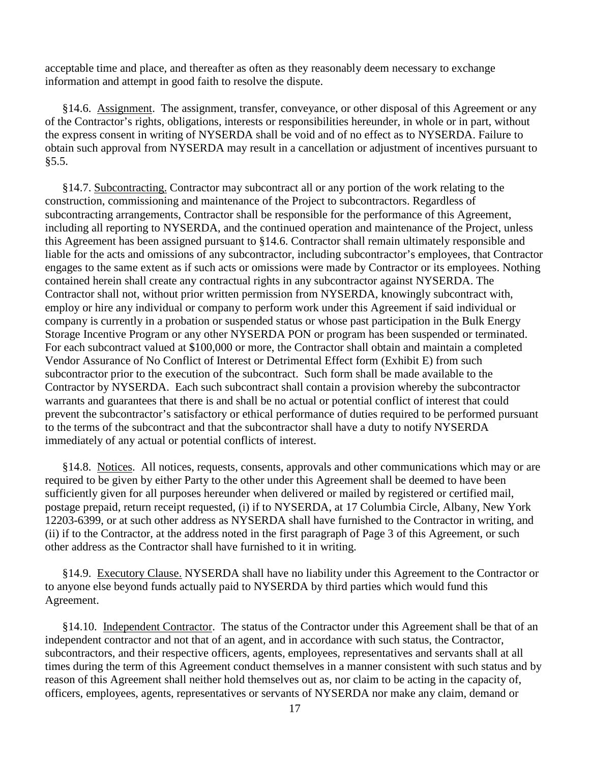acceptable time and place, and thereafter as often as they reasonably deem necessary to exchange information and attempt in good faith to resolve the dispute.

§14.6. Assignment. The assignment, transfer, conveyance, or other disposal of this Agreement or any of the Contractor's rights, obligations, interests or responsibilities hereunder, in whole or in part, without the express consent in writing of NYSERDA shall be void and of no effect as to NYSERDA. Failure to obtain such approval from NYSERDA may result in a cancellation or adjustment of incentives pursuant to §5.5.

§14.7. Subcontracting. Contractor may subcontract all or any portion of the work relating to the construction, commissioning and maintenance of the Project to subcontractors. Regardless of subcontracting arrangements, Contractor shall be responsible for the performance of this Agreement, including all reporting to NYSERDA, and the continued operation and maintenance of the Project, unless this Agreement has been assigned pursuant to §14.6. Contractor shall remain ultimately responsible and liable for the acts and omissions of any subcontractor, including subcontractor's employees, that Contractor engages to the same extent as if such acts or omissions were made by Contractor or its employees. Nothing contained herein shall create any contractual rights in any subcontractor against NYSERDA. The Contractor shall not, without prior written permission from NYSERDA, knowingly subcontract with, employ or hire any individual or company to perform work under this Agreement if said individual or company is currently in a probation or suspended status or whose past participation in the Bulk Energy Storage Incentive Program or any other NYSERDA PON or program has been suspended or terminated. For each subcontract valued at \$100,000 or more, the Contractor shall obtain and maintain a completed Vendor Assurance of No Conflict of Interest or Detrimental Effect form (Exhibit E) from such subcontractor prior to the execution of the subcontract. Such form shall be made available to the Contractor by NYSERDA. Each such subcontract shall contain a provision whereby the subcontractor warrants and guarantees that there is and shall be no actual or potential conflict of interest that could prevent the subcontractor's satisfactory or ethical performance of duties required to be performed pursuant to the terms of the subcontract and that the subcontractor shall have a duty to notify NYSERDA immediately of any actual or potential conflicts of interest.

§14.8. Notices. All notices, requests, consents, approvals and other communications which may or are required to be given by either Party to the other under this Agreement shall be deemed to have been sufficiently given for all purposes hereunder when delivered or mailed by registered or certified mail, postage prepaid, return receipt requested, (i) if to NYSERDA, at 17 Columbia Circle, Albany, New York 12203-6399, or at such other address as NYSERDA shall have furnished to the Contractor in writing, and (ii) if to the Contractor, at the address noted in the first paragraph of Page 3 of this Agreement, or such other address as the Contractor shall have furnished to it in writing.

§14.9. Executory Clause. NYSERDA shall have no liability under this Agreement to the Contractor or to anyone else beyond funds actually paid to NYSERDA by third parties which would fund this Agreement.

§14.10. Independent Contractor. The status of the Contractor under this Agreement shall be that of an independent contractor and not that of an agent, and in accordance with such status, the Contractor, subcontractors, and their respective officers, agents, employees, representatives and servants shall at all times during the term of this Agreement conduct themselves in a manner consistent with such status and by reason of this Agreement shall neither hold themselves out as, nor claim to be acting in the capacity of, officers, employees, agents, representatives or servants of NYSERDA nor make any claim, demand or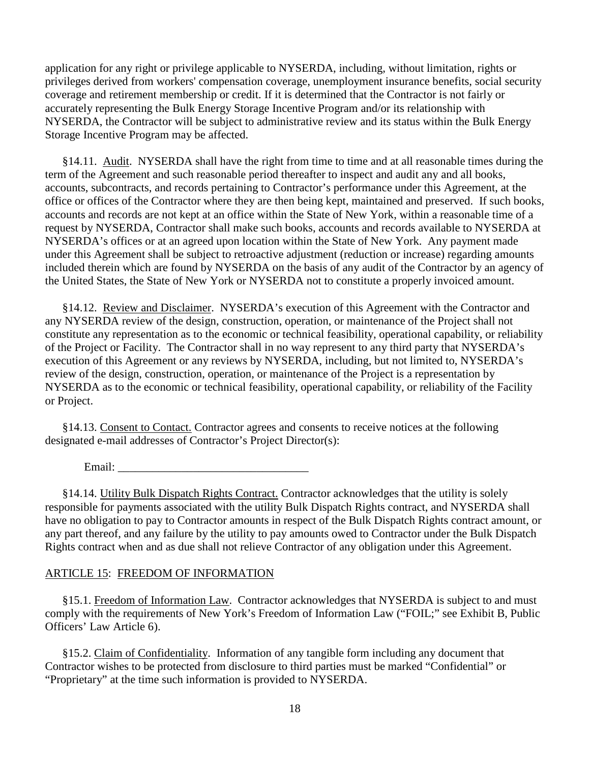application for any right or privilege applicable to NYSERDA, including, without limitation, rights or privileges derived from workers' compensation coverage, unemployment insurance benefits, social security coverage and retirement membership or credit. If it is determined that the Contractor is not fairly or accurately representing the Bulk Energy Storage Incentive Program and/or its relationship with NYSERDA, the Contractor will be subject to administrative review and its status within the Bulk Energy Storage Incentive Program may be affected.

§14.11. Audit. NYSERDA shall have the right from time to time and at all reasonable times during the term of the Agreement and such reasonable period thereafter to inspect and audit any and all books, accounts, subcontracts, and records pertaining to Contractor's performance under this Agreement, at the office or offices of the Contractor where they are then being kept, maintained and preserved. If such books, accounts and records are not kept at an office within the State of New York, within a reasonable time of a request by NYSERDA, Contractor shall make such books, accounts and records available to NYSERDA at NYSERDA's offices or at an agreed upon location within the State of New York. Any payment made under this Agreement shall be subject to retroactive adjustment (reduction or increase) regarding amounts included therein which are found by NYSERDA on the basis of any audit of the Contractor by an agency of the United States, the State of New York or NYSERDA not to constitute a properly invoiced amount.

§14.12. Review and Disclaimer. NYSERDA's execution of this Agreement with the Contractor and any NYSERDA review of the design, construction, operation, or maintenance of the Project shall not constitute any representation as to the economic or technical feasibility, operational capability, or reliability of the Project or Facility. The Contractor shall in no way represent to any third party that NYSERDA's execution of this Agreement or any reviews by NYSERDA, including, but not limited to, NYSERDA's review of the design, construction, operation, or maintenance of the Project is a representation by NYSERDA as to the economic or technical feasibility, operational capability, or reliability of the Facility or Project.

§14.13. Consent to Contact. Contractor agrees and consents to receive notices at the following designated e-mail addresses of Contractor's Project Director(s):

Email:

§14.14. Utility Bulk Dispatch Rights Contract. Contractor acknowledges that the utility is solely responsible for payments associated with the utility Bulk Dispatch Rights contract, and NYSERDA shall have no obligation to pay to Contractor amounts in respect of the Bulk Dispatch Rights contract amount, or any part thereof, and any failure by the utility to pay amounts owed to Contractor under the Bulk Dispatch Rights contract when and as due shall not relieve Contractor of any obligation under this Agreement.

# ARTICLE 15: FREEDOM OF INFORMATION

§15.1. Freedom of Information Law. Contractor acknowledges that NYSERDA is subject to and must comply with the requirements of New York's Freedom of Information Law ("FOIL;" see Exhibit B, Public Officers' Law Article 6).

§15.2. Claim of Confidentiality. Information of any tangible form including any document that Contractor wishes to be protected from disclosure to third parties must be marked "Confidential" or "Proprietary" at the time such information is provided to NYSERDA.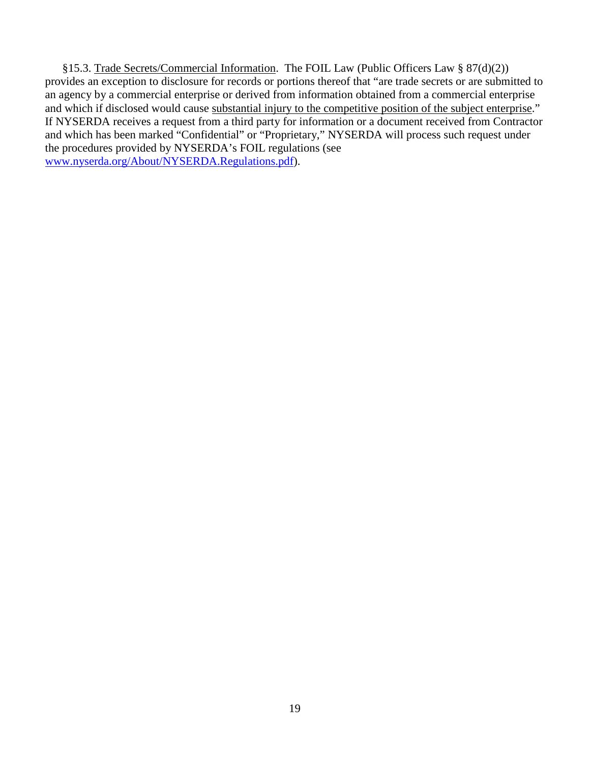§15.3. Trade Secrets/Commercial Information. The FOIL Law (Public Officers Law § 87(d)(2)) provides an exception to disclosure for records or portions thereof that "are trade secrets or are submitted to an agency by a commercial enterprise or derived from information obtained from a commercial enterprise and which if disclosed would cause substantial injury to the competitive position of the subject enterprise." If NYSERDA receives a request from a third party for information or a document received from Contractor and which has been marked "Confidential" or "Proprietary," NYSERDA will process such request under the procedures provided by NYSERDA's FOIL regulations (see [www.nyserda.org/About/NYSERDA.Regulations.pdf\)](http://www.nyserda.org/About/NYSERDA.Regulations.pdf).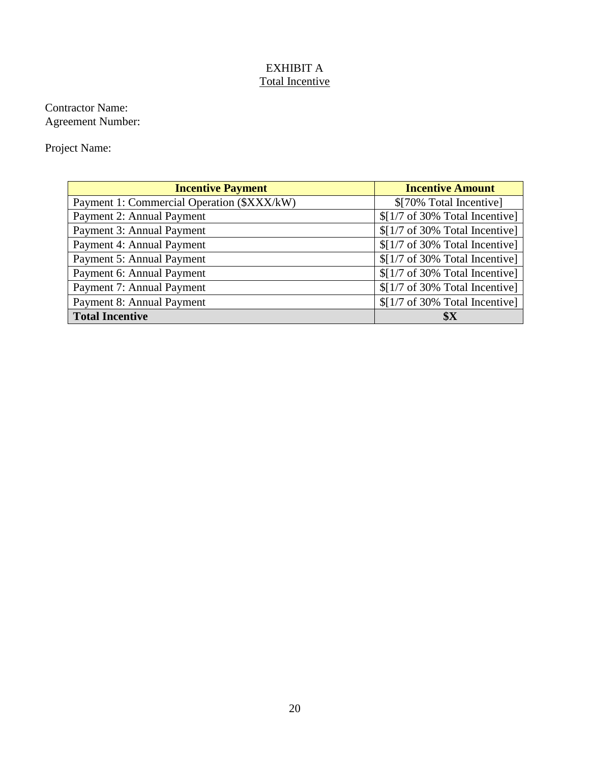# EXHIBIT A Total Incentive

Contractor Name: Agreement Number:

Project Name:

| <b>Incentive Payment</b>                   | <b>Incentive Amount</b>                            |
|--------------------------------------------|----------------------------------------------------|
| Payment 1: Commercial Operation (\$XXX/kW) | \$[70% Total Incentive]                            |
| Payment 2: Annual Payment                  | $$[1/7 \text{ of } 30\% \text{ Total Incentive}]\$ |
| Payment 3: Annual Payment                  | $$[1/7 \text{ of } 30\% \text{ Total Incentive}]\$ |
| Payment 4: Annual Payment                  | $$[1/7 \text{ of } 30\% \text{ Total Incentive}]\$ |
| Payment 5: Annual Payment                  | $$[1/7 \text{ of } 30\% \text{ Total Incentive}]\$ |
| Payment 6: Annual Payment                  | $$[1/7 \text{ of } 30\% \text{ Total Incentive}]\$ |
| Payment 7: Annual Payment                  | $$[1/7 \text{ of } 30\% \text{ Total Incentive}]\$ |
| Payment 8: Annual Payment                  | $$[1/7 \text{ of } 30\% \text{ Total Incentive}]\$ |
| <b>Total Incentive</b>                     | \$X                                                |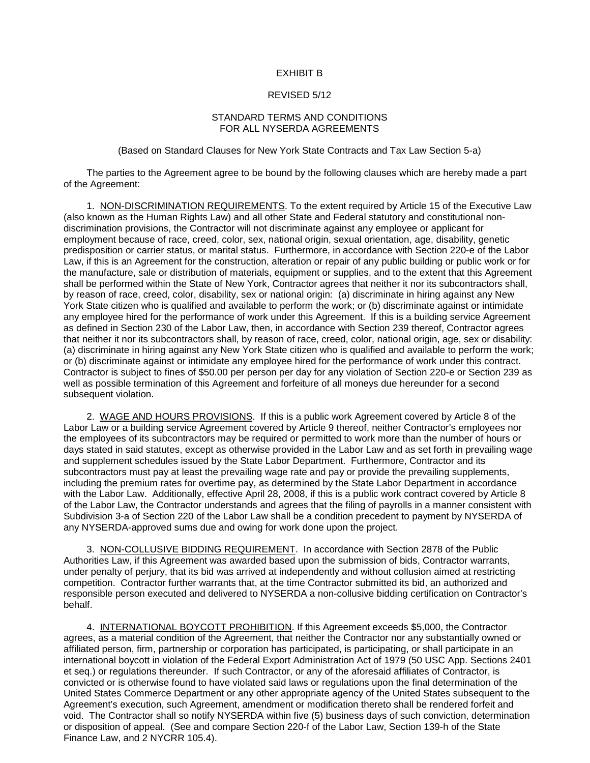#### EXHIBIT B

### REVISED 5/12

#### STANDARD TERMS AND CONDITIONS FOR ALL NYSERDA AGREEMENTS

(Based on Standard Clauses for New York State Contracts and Tax Law Section 5-a)

The parties to the Agreement agree to be bound by the following clauses which are hereby made a part of the Agreement:

1. NON-DISCRIMINATION REQUIREMENTS. To the extent required by Article 15 of the Executive Law (also known as the Human Rights Law) and all other State and Federal statutory and constitutional nondiscrimination provisions, the Contractor will not discriminate against any employee or applicant for employment because of race, creed, color, sex, national origin, sexual orientation, age, disability, genetic predisposition or carrier status, or marital status. Furthermore, in accordance with Section 220-e of the Labor Law, if this is an Agreement for the construction, alteration or repair of any public building or public work or for the manufacture, sale or distribution of materials, equipment or supplies, and to the extent that this Agreement shall be performed within the State of New York, Contractor agrees that neither it nor its subcontractors shall, by reason of race, creed, color, disability, sex or national origin: (a) discriminate in hiring against any New York State citizen who is qualified and available to perform the work; or (b) discriminate against or intimidate any employee hired for the performance of work under this Agreement. If this is a building service Agreement as defined in Section 230 of the Labor Law, then, in accordance with Section 239 thereof, Contractor agrees that neither it nor its subcontractors shall, by reason of race, creed, color, national origin, age, sex or disability: (a) discriminate in hiring against any New York State citizen who is qualified and available to perform the work; or (b) discriminate against or intimidate any employee hired for the performance of work under this contract. Contractor is subject to fines of \$50.00 per person per day for any violation of Section 220-e or Section 239 as well as possible termination of this Agreement and forfeiture of all moneys due hereunder for a second subsequent violation.

2. WAGE AND HOURS PROVISIONS. If this is a public work Agreement covered by Article 8 of the Labor Law or a building service Agreement covered by Article 9 thereof, neither Contractor's employees nor the employees of its subcontractors may be required or permitted to work more than the number of hours or days stated in said statutes, except as otherwise provided in the Labor Law and as set forth in prevailing wage and supplement schedules issued by the State Labor Department. Furthermore, Contractor and its subcontractors must pay at least the prevailing wage rate and pay or provide the prevailing supplements, including the premium rates for overtime pay, as determined by the State Labor Department in accordance with the Labor Law. Additionally, effective April 28, 2008, if this is a public work contract covered by Article 8 of the Labor Law, the Contractor understands and agrees that the filing of payrolls in a manner consistent with Subdivision 3-a of Section 220 of the Labor Law shall be a condition precedent to payment by NYSERDA of any NYSERDA-approved sums due and owing for work done upon the project.

3. NON-COLLUSIVE BIDDING REQUIREMENT. In accordance with Section 2878 of the Public Authorities Law, if this Agreement was awarded based upon the submission of bids, Contractor warrants, under penalty of perjury, that its bid was arrived at independently and without collusion aimed at restricting competition. Contractor further warrants that, at the time Contractor submitted its bid, an authorized and responsible person executed and delivered to NYSERDA a non-collusive bidding certification on Contractor's behalf.

4. INTERNATIONAL BOYCOTT PROHIBITION. If this Agreement exceeds \$5,000, the Contractor agrees, as a material condition of the Agreement, that neither the Contractor nor any substantially owned or affiliated person, firm, partnership or corporation has participated, is participating, or shall participate in an international boycott in violation of the Federal Export Administration Act of 1979 (50 USC App. Sections 2401 et seq.) or regulations thereunder. If such Contractor, or any of the aforesaid affiliates of Contractor, is convicted or is otherwise found to have violated said laws or regulations upon the final determination of the United States Commerce Department or any other appropriate agency of the United States subsequent to the Agreement's execution, such Agreement, amendment or modification thereto shall be rendered forfeit and void. The Contractor shall so notify NYSERDA within five (5) business days of such conviction, determination or disposition of appeal. (See and compare Section 220-f of the Labor Law, Section 139-h of the State Finance Law, and 2 NYCRR 105.4).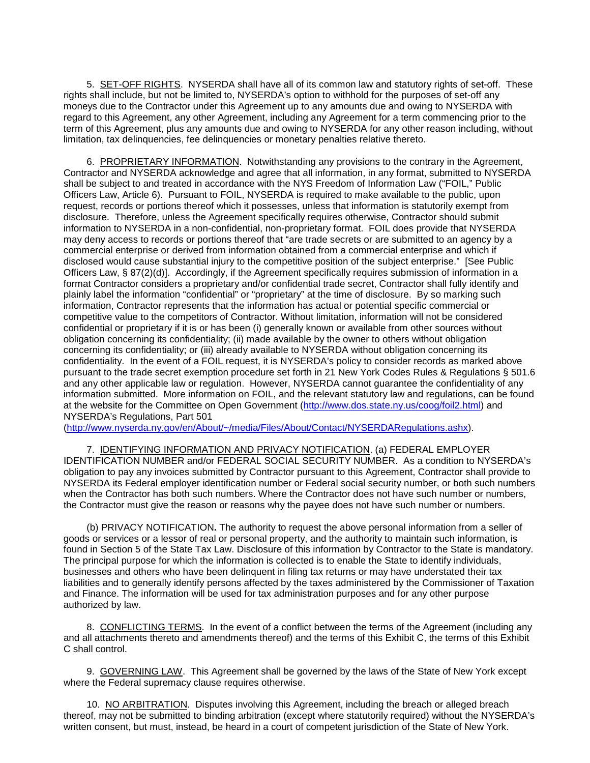5. SET-OFF RIGHTS. NYSERDA shall have all of its common law and statutory rights of set-off. These rights shall include, but not be limited to, NYSERDA's option to withhold for the purposes of set-off any moneys due to the Contractor under this Agreement up to any amounts due and owing to NYSERDA with regard to this Agreement, any other Agreement, including any Agreement for a term commencing prior to the term of this Agreement, plus any amounts due and owing to NYSERDA for any other reason including, without limitation, tax delinquencies, fee delinquencies or monetary penalties relative thereto.

6. PROPRIETARY INFORMATION. Notwithstanding any provisions to the contrary in the Agreement, Contractor and NYSERDA acknowledge and agree that all information, in any format, submitted to NYSERDA shall be subject to and treated in accordance with the NYS Freedom of Information Law ("FOIL," Public Officers Law, Article 6). Pursuant to FOIL, NYSERDA is required to make available to the public, upon request, records or portions thereof which it possesses, unless that information is statutorily exempt from disclosure. Therefore, unless the Agreement specifically requires otherwise, Contractor should submit information to NYSERDA in a non-confidential, non-proprietary format. FOIL does provide that NYSERDA may deny access to records or portions thereof that "are trade secrets or are submitted to an agency by a commercial enterprise or derived from information obtained from a commercial enterprise and which if disclosed would cause substantial injury to the competitive position of the subject enterprise." [See Public Officers Law, § 87(2)(d)]. Accordingly, if the Agreement specifically requires submission of information in a format Contractor considers a proprietary and/or confidential trade secret, Contractor shall fully identify and plainly label the information "confidential" or "proprietary" at the time of disclosure. By so marking such information, Contractor represents that the information has actual or potential specific commercial or competitive value to the competitors of Contractor. Without limitation, information will not be considered confidential or proprietary if it is or has been (i) generally known or available from other sources without obligation concerning its confidentiality; (ii) made available by the owner to others without obligation concerning its confidentiality; or (iii) already available to NYSERDA without obligation concerning its confidentiality. In the event of a FOIL request, it is NYSERDA's policy to consider records as marked above pursuant to the trade secret exemption procedure set forth in 21 New York Codes Rules & Regulations § 501.6 and any other applicable law or regulation. However, NYSERDA cannot guarantee the confidentiality of any information submitted. More information on FOIL, and the relevant statutory law and regulations, can be found at the website for the Committee on Open Government [\(http://www.dos.state.ny.us/coog/foil2.html\)](http://www.dos.state.ny.us/coog/foil2.html) and NYSERDA's Regulations, Part 501

[\(http://www.nyserda.ny.gov/en/About/~/media/Files/About/Contact/NYSERDARegulations.ashx\)](http://www.nyserda.ny.gov/en/About/%7E/media/Files/About/Contact/NYSERDARegulations.ashx).

7. IDENTIFYING INFORMATION AND PRIVACY NOTIFICATION. (a) FEDERAL EMPLOYER IDENTIFICATION NUMBER and/or FEDERAL SOCIAL SECURITY NUMBER. As a condition to NYSERDA's obligation to pay any invoices submitted by Contractor pursuant to this Agreement, Contractor shall provide to NYSERDA its Federal employer identification number or Federal social security number, or both such numbers when the Contractor has both such numbers. Where the Contractor does not have such number or numbers, the Contractor must give the reason or reasons why the payee does not have such number or numbers.

(b) PRIVACY NOTIFICATION**.** The authority to request the above personal information from a seller of goods or services or a lessor of real or personal property, and the authority to maintain such information, is found in Section 5 of the State Tax Law. Disclosure of this information by Contractor to the State is mandatory. The principal purpose for which the information is collected is to enable the State to identify individuals, businesses and others who have been delinquent in filing tax returns or may have understated their tax liabilities and to generally identify persons affected by the taxes administered by the Commissioner of Taxation and Finance. The information will be used for tax administration purposes and for any other purpose authorized by law.

8. CONFLICTING TERMS. In the event of a conflict between the terms of the Agreement (including any and all attachments thereto and amendments thereof) and the terms of this Exhibit C, the terms of this Exhibit C shall control.

9. GOVERNING LAW. This Agreement shall be governed by the laws of the State of New York except where the Federal supremacy clause requires otherwise.

10. NO ARBITRATION. Disputes involving this Agreement, including the breach or alleged breach thereof, may not be submitted to binding arbitration (except where statutorily required) without the NYSERDA's written consent, but must, instead, be heard in a court of competent jurisdiction of the State of New York.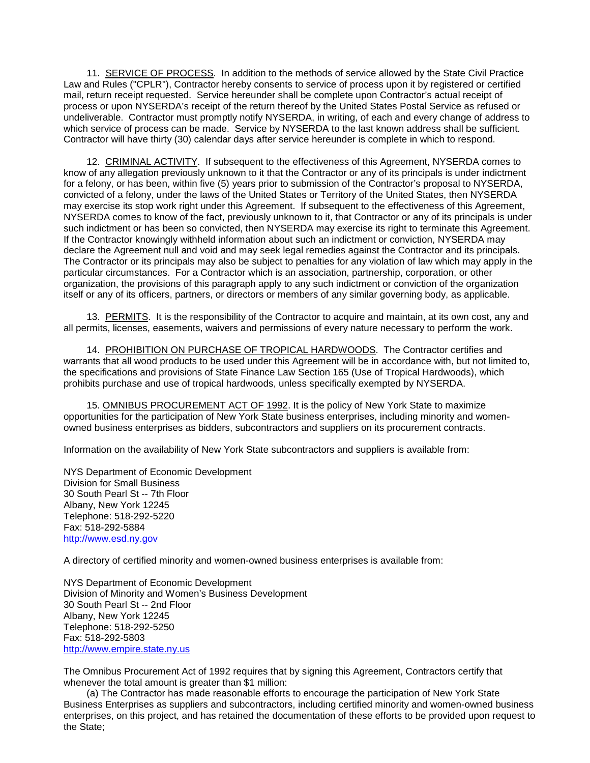11. SERVICE OF PROCESS. In addition to the methods of service allowed by the State Civil Practice Law and Rules ("CPLR"), Contractor hereby consents to service of process upon it by registered or certified mail, return receipt requested. Service hereunder shall be complete upon Contractor's actual receipt of process or upon NYSERDA's receipt of the return thereof by the United States Postal Service as refused or undeliverable. Contractor must promptly notify NYSERDA, in writing, of each and every change of address to which service of process can be made. Service by NYSERDA to the last known address shall be sufficient. Contractor will have thirty (30) calendar days after service hereunder is complete in which to respond.

12. CRIMINAL ACTIVITY. If subsequent to the effectiveness of this Agreement, NYSERDA comes to know of any allegation previously unknown to it that the Contractor or any of its principals is under indictment for a felony, or has been, within five (5) years prior to submission of the Contractor's proposal to NYSERDA, convicted of a felony, under the laws of the United States or Territory of the United States, then NYSERDA may exercise its stop work right under this Agreement. If subsequent to the effectiveness of this Agreement, NYSERDA comes to know of the fact, previously unknown to it, that Contractor or any of its principals is under such indictment or has been so convicted, then NYSERDA may exercise its right to terminate this Agreement. If the Contractor knowingly withheld information about such an indictment or conviction, NYSERDA may declare the Agreement null and void and may seek legal remedies against the Contractor and its principals. The Contractor or its principals may also be subject to penalties for any violation of law which may apply in the particular circumstances. For a Contractor which is an association, partnership, corporation, or other organization, the provisions of this paragraph apply to any such indictment or conviction of the organization itself or any of its officers, partners, or directors or members of any similar governing body, as applicable.

13. PERMITS. It is the responsibility of the Contractor to acquire and maintain, at its own cost, any and all permits, licenses, easements, waivers and permissions of every nature necessary to perform the work.

14. PROHIBITION ON PURCHASE OF TROPICAL HARDWOODS. The Contractor certifies and warrants that all wood products to be used under this Agreement will be in accordance with, but not limited to, the specifications and provisions of State Finance Law Section 165 (Use of Tropical Hardwoods), which prohibits purchase and use of tropical hardwoods, unless specifically exempted by NYSERDA.

15. OMNIBUS PROCUREMENT ACT OF 1992. It is the policy of New York State to maximize opportunities for the participation of New York State business enterprises, including minority and womenowned business enterprises as bidders, subcontractors and suppliers on its procurement contracts.

Information on the availability of New York State subcontractors and suppliers is available from:

NYS Department of Economic Development Division for Small Business 30 South Pearl St -- 7th Floor Albany, New York 12245 Telephone: 518-292-5220 Fax: 518-292-5884 [http://www.esd.ny.gov](http://www.esd.ny.gov/)

A directory of certified minority and women-owned business enterprises is available from:

NYS Department of Economic Development Division of Minority and Women's Business Development 30 South Pearl St -- 2nd Floor Albany, New York 12245 Telephone: 518-292-5250 Fax: 518-292-5803 [http://www.empire.state.ny.us](http://www.empire.state.ny.us/)

The Omnibus Procurement Act of 1992 requires that by signing this Agreement, Contractors certify that whenever the total amount is greater than \$1 million:

(a) The Contractor has made reasonable efforts to encourage the participation of New York State Business Enterprises as suppliers and subcontractors, including certified minority and women-owned business enterprises, on this project, and has retained the documentation of these efforts to be provided upon request to the State;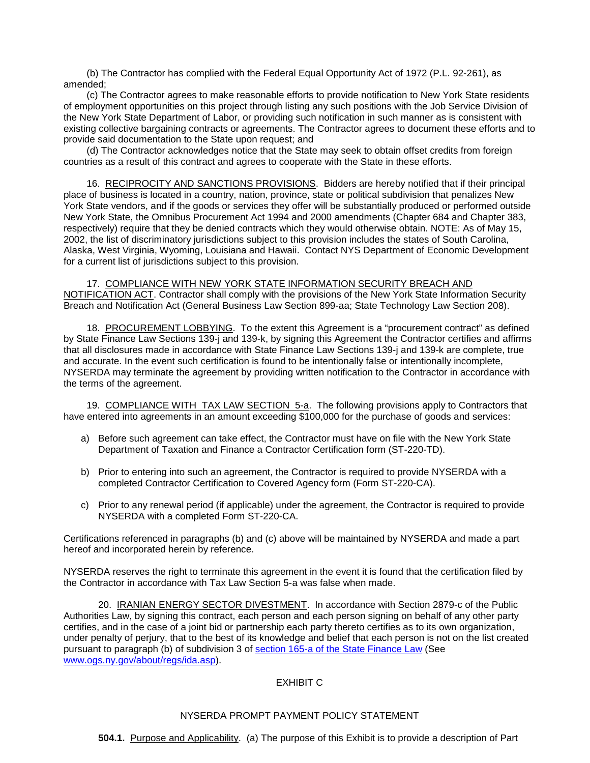(b) The Contractor has complied with the Federal Equal Opportunity Act of 1972 (P.L. 92-261), as amended;

(c) The Contractor agrees to make reasonable efforts to provide notification to New York State residents of employment opportunities on this project through listing any such positions with the Job Service Division of the New York State Department of Labor, or providing such notification in such manner as is consistent with existing collective bargaining contracts or agreements. The Contractor agrees to document these efforts and to provide said documentation to the State upon request; and

(d) The Contractor acknowledges notice that the State may seek to obtain offset credits from foreign countries as a result of this contract and agrees to cooperate with the State in these efforts.

16. RECIPROCITY AND SANCTIONS PROVISIONS. Bidders are hereby notified that if their principal place of business is located in a country, nation, province, state or political subdivision that penalizes New York State vendors, and if the goods or services they offer will be substantially produced or performed outside New York State, the Omnibus Procurement Act 1994 and 2000 amendments (Chapter 684 and Chapter 383, respectively) require that they be denied contracts which they would otherwise obtain. NOTE: As of May 15, 2002, the list of discriminatory jurisdictions subject to this provision includes the states of South Carolina, Alaska, West Virginia, Wyoming, Louisiana and Hawaii. Contact NYS Department of Economic Development for a current list of jurisdictions subject to this provision.

17. COMPLIANCE WITH NEW YORK STATE INFORMATION SECURITY BREACH AND NOTIFICATION ACT. Contractor shall comply with the provisions of the New York State Information Security Breach and Notification Act (General Business Law Section 899-aa; State Technology Law Section 208).

18. PROCUREMENT LOBBYING. To the extent this Agreement is a "procurement contract" as defined by State Finance Law Sections 139-j and 139-k, by signing this Agreement the Contractor certifies and affirms that all disclosures made in accordance with State Finance Law Sections 139-j and 139-k are complete, true and accurate. In the event such certification is found to be intentionally false or intentionally incomplete, NYSERDA may terminate the agreement by providing written notification to the Contractor in accordance with the terms of the agreement.

19. COMPLIANCE WITH TAX LAW SECTION 5-a. The following provisions apply to Contractors that have entered into agreements in an amount exceeding \$100,000 for the purchase of goods and services:

- a) Before such agreement can take effect, the Contractor must have on file with the New York State Department of Taxation and Finance a Contractor Certification form (ST-220-TD).
- b) Prior to entering into such an agreement, the Contractor is required to provide NYSERDA with a completed Contractor Certification to Covered Agency form (Form ST-220-CA).
- c) Prior to any renewal period (if applicable) under the agreement, the Contractor is required to provide NYSERDA with a completed Form ST-220-CA.

Certifications referenced in paragraphs (b) and (c) above will be maintained by NYSERDA and made a part hereof and incorporated herein by reference.

NYSERDA reserves the right to terminate this agreement in the event it is found that the certification filed by the Contractor in accordance with Tax Law Section 5-a was false when made.

20. IRANIAN ENERGY SECTOR DIVESTMENT. In accordance with Section 2879-c of the Public Authorities Law, by signing this contract, each person and each person signing on behalf of any other party certifies, and in the case of a joint bid or partnership each party thereto certifies as to its own organization, under penalty of perjury, that to the best of its knowledge and belief that each person is not on the list created pursuant to paragraph (b) of subdivision 3 of section 165-a of the State Finance Law (See [www.ogs.ny.gov/about/regs/ida.asp\)](http://www.ogs.ny.gov/about/regs/ida.asp).

### EXHIBIT C

### NYSERDA PROMPT PAYMENT POLICY STATEMENT

**504.1.** Purpose and Applicability. (a) The purpose of this Exhibit is to provide a description of Part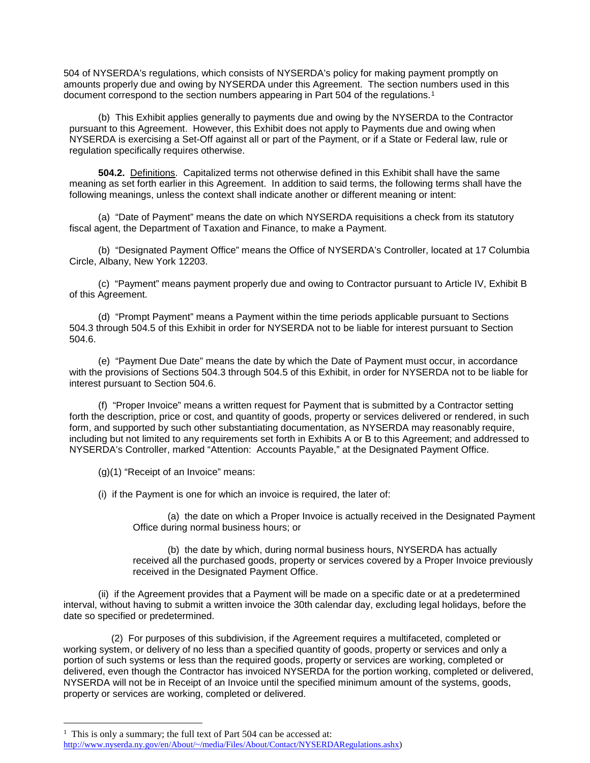504 of NYSERDA's regulations, which consists of NYSERDA's policy for making payment promptly on amounts properly due and owing by NYSERDA under this Agreement. The section numbers used in this document correspond to the section numbers appearing in Part 504 of the regulations.<sup>[1](#page-24-0)</sup>

(b) This Exhibit applies generally to payments due and owing by the NYSERDA to the Contractor pursuant to this Agreement. However, this Exhibit does not apply to Payments due and owing when NYSERDA is exercising a Set-Off against all or part of the Payment, or if a State or Federal law, rule or regulation specifically requires otherwise.

**504.2.** Definitions. Capitalized terms not otherwise defined in this Exhibit shall have the same meaning as set forth earlier in this Agreement. In addition to said terms, the following terms shall have the following meanings, unless the context shall indicate another or different meaning or intent:

(a) "Date of Payment" means the date on which NYSERDA requisitions a check from its statutory fiscal agent, the Department of Taxation and Finance, to make a Payment.

(b) "Designated Payment Office" means the Office of NYSERDA's Controller, located at 17 Columbia Circle, Albany, New York 12203.

(c) "Payment" means payment properly due and owing to Contractor pursuant to Article IV, Exhibit B of this Agreement.

(d) "Prompt Payment" means a Payment within the time periods applicable pursuant to Sections 504.3 through 504.5 of this Exhibit in order for NYSERDA not to be liable for interest pursuant to Section 504.6.

(e) "Payment Due Date" means the date by which the Date of Payment must occur, in accordance with the provisions of Sections 504.3 through 504.5 of this Exhibit, in order for NYSERDA not to be liable for interest pursuant to Section 504.6.

(f) "Proper Invoice" means a written request for Payment that is submitted by a Contractor setting forth the description, price or cost, and quantity of goods, property or services delivered or rendered, in such form, and supported by such other substantiating documentation, as NYSERDA may reasonably require, including but not limited to any requirements set forth in Exhibits A or B to this Agreement; and addressed to NYSERDA's Controller, marked "Attention: Accounts Payable," at the Designated Payment Office.

(g)(1) "Receipt of an Invoice" means:

(i) if the Payment is one for which an invoice is required, the later of:

(a) the date on which a Proper Invoice is actually received in the Designated Payment Office during normal business hours; or

(b) the date by which, during normal business hours, NYSERDA has actually received all the purchased goods, property or services covered by a Proper Invoice previously received in the Designated Payment Office.

(ii) if the Agreement provides that a Payment will be made on a specific date or at a predetermined interval, without having to submit a written invoice the 30th calendar day, excluding legal holidays, before the date so specified or predetermined.

(2) For purposes of this subdivision, if the Agreement requires a multifaceted, completed or working system, or delivery of no less than a specified quantity of goods, property or services and only a portion of such systems or less than the required goods, property or services are working, completed or delivered, even though the Contractor has invoiced NYSERDA for the portion working, completed or delivered, NYSERDA will not be in Receipt of an Invoice until the specified minimum amount of the systems, goods, property or services are working, completed or delivered.

<span id="page-24-0"></span><sup>&</sup>lt;sup>1</sup> This is only a summary; the full text of Part 504 can be accessed at:

[http://www.nyserda.ny.gov/en/About/~/media/Files/About/Contact/NYSERDARegulations.ashx\)](http://www.nyserda.ny.gov/en/About/%7E/media/Files/About/Contact/NYSERDARegulations.ashx)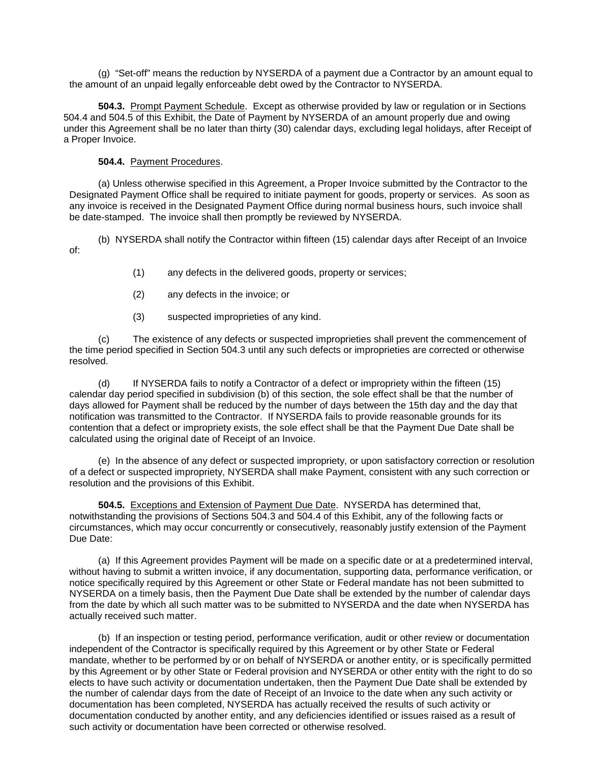(g) "Set-off" means the reduction by NYSERDA of a payment due a Contractor by an amount equal to the amount of an unpaid legally enforceable debt owed by the Contractor to NYSERDA.

 **504.3.** Prompt Payment Schedule. Except as otherwise provided by law or regulation or in Sections 504.4 and 504.5 of this Exhibit, the Date of Payment by NYSERDA of an amount properly due and owing under this Agreement shall be no later than thirty (30) calendar days, excluding legal holidays, after Receipt of a Proper Invoice.

#### **504.4.** Payment Procedures.

(a) Unless otherwise specified in this Agreement, a Proper Invoice submitted by the Contractor to the Designated Payment Office shall be required to initiate payment for goods, property or services. As soon as any invoice is received in the Designated Payment Office during normal business hours, such invoice shall be date-stamped. The invoice shall then promptly be reviewed by NYSERDA.

(b) NYSERDA shall notify the Contractor within fifteen (15) calendar days after Receipt of an Invoice of:

- (1) any defects in the delivered goods, property or services;
- (2) any defects in the invoice; or
- (3) suspected improprieties of any kind.

(c) The existence of any defects or suspected improprieties shall prevent the commencement of the time period specified in Section 504.3 until any such defects or improprieties are corrected or otherwise resolved.

(d) If NYSERDA fails to notify a Contractor of a defect or impropriety within the fifteen (15) calendar day period specified in subdivision (b) of this section, the sole effect shall be that the number of days allowed for Payment shall be reduced by the number of days between the 15th day and the day that notification was transmitted to the Contractor. If NYSERDA fails to provide reasonable grounds for its contention that a defect or impropriety exists, the sole effect shall be that the Payment Due Date shall be calculated using the original date of Receipt of an Invoice.

(e) In the absence of any defect or suspected impropriety, or upon satisfactory correction or resolution of a defect or suspected impropriety, NYSERDA shall make Payment, consistent with any such correction or resolution and the provisions of this Exhibit.

**504.5.** Exceptions and Extension of Payment Due Date. NYSERDA has determined that, notwithstanding the provisions of Sections 504.3 and 504.4 of this Exhibit, any of the following facts or circumstances, which may occur concurrently or consecutively, reasonably justify extension of the Payment Due Date:

(a) If this Agreement provides Payment will be made on a specific date or at a predetermined interval, without having to submit a written invoice, if any documentation, supporting data, performance verification, or notice specifically required by this Agreement or other State or Federal mandate has not been submitted to NYSERDA on a timely basis, then the Payment Due Date shall be extended by the number of calendar days from the date by which all such matter was to be submitted to NYSERDA and the date when NYSERDA has actually received such matter.

(b) If an inspection or testing period, performance verification, audit or other review or documentation independent of the Contractor is specifically required by this Agreement or by other State or Federal mandate, whether to be performed by or on behalf of NYSERDA or another entity, or is specifically permitted by this Agreement or by other State or Federal provision and NYSERDA or other entity with the right to do so elects to have such activity or documentation undertaken, then the Payment Due Date shall be extended by the number of calendar days from the date of Receipt of an Invoice to the date when any such activity or documentation has been completed, NYSERDA has actually received the results of such activity or documentation conducted by another entity, and any deficiencies identified or issues raised as a result of such activity or documentation have been corrected or otherwise resolved.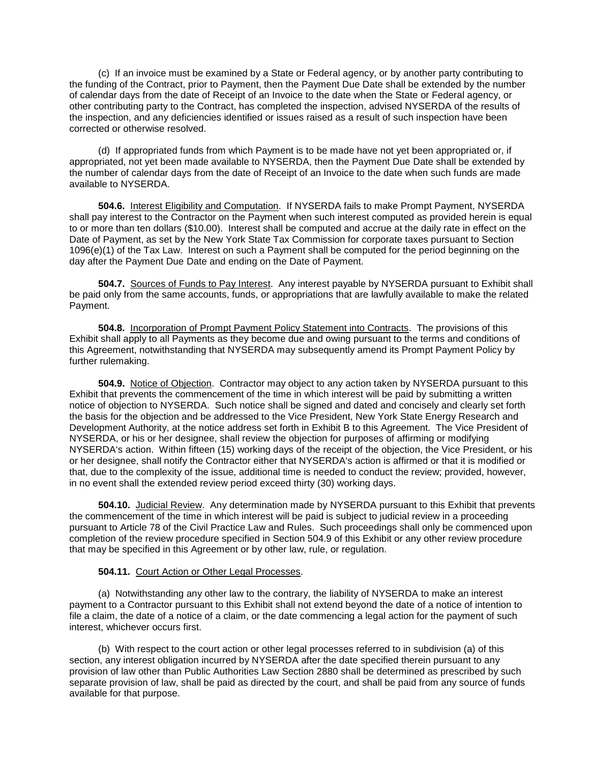(c) If an invoice must be examined by a State or Federal agency, or by another party contributing to the funding of the Contract, prior to Payment, then the Payment Due Date shall be extended by the number of calendar days from the date of Receipt of an Invoice to the date when the State or Federal agency, or other contributing party to the Contract, has completed the inspection, advised NYSERDA of the results of the inspection, and any deficiencies identified or issues raised as a result of such inspection have been corrected or otherwise resolved.

(d) If appropriated funds from which Payment is to be made have not yet been appropriated or, if appropriated, not yet been made available to NYSERDA, then the Payment Due Date shall be extended by the number of calendar days from the date of Receipt of an Invoice to the date when such funds are made available to NYSERDA.

**504.6.** Interest Eligibility and Computation. If NYSERDA fails to make Prompt Payment, NYSERDA shall pay interest to the Contractor on the Payment when such interest computed as provided herein is equal to or more than ten dollars (\$10.00). Interest shall be computed and accrue at the daily rate in effect on the Date of Payment, as set by the New York State Tax Commission for corporate taxes pursuant to Section 1096(e)(1) of the Tax Law. Interest on such a Payment shall be computed for the period beginning on the day after the Payment Due Date and ending on the Date of Payment.

**504.7.** Sources of Funds to Pay Interest. Any interest payable by NYSERDA pursuant to Exhibit shall be paid only from the same accounts, funds, or appropriations that are lawfully available to make the related Payment.

**504.8.** Incorporation of Prompt Payment Policy Statement into Contracts. The provisions of this Exhibit shall apply to all Payments as they become due and owing pursuant to the terms and conditions of this Agreement, notwithstanding that NYSERDA may subsequently amend its Prompt Payment Policy by further rulemaking.

**504.9.** Notice of Objection. Contractor may object to any action taken by NYSERDA pursuant to this Exhibit that prevents the commencement of the time in which interest will be paid by submitting a written notice of objection to NYSERDA. Such notice shall be signed and dated and concisely and clearly set forth the basis for the objection and be addressed to the Vice President, New York State Energy Research and Development Authority, at the notice address set forth in Exhibit B to this Agreement. The Vice President of NYSERDA, or his or her designee, shall review the objection for purposes of affirming or modifying NYSERDA's action. Within fifteen (15) working days of the receipt of the objection, the Vice President, or his or her designee, shall notify the Contractor either that NYSERDA's action is affirmed or that it is modified or that, due to the complexity of the issue, additional time is needed to conduct the review; provided, however, in no event shall the extended review period exceed thirty (30) working days.

**504.10.** Judicial Review. Any determination made by NYSERDA pursuant to this Exhibit that prevents the commencement of the time in which interest will be paid is subject to judicial review in a proceeding pursuant to Article 78 of the Civil Practice Law and Rules. Such proceedings shall only be commenced upon completion of the review procedure specified in Section 504.9 of this Exhibit or any other review procedure that may be specified in this Agreement or by other law, rule, or regulation.

### **504.11.** Court Action or Other Legal Processes.

(a) Notwithstanding any other law to the contrary, the liability of NYSERDA to make an interest payment to a Contractor pursuant to this Exhibit shall not extend beyond the date of a notice of intention to file a claim, the date of a notice of a claim, or the date commencing a legal action for the payment of such interest, whichever occurs first.

(b) With respect to the court action or other legal processes referred to in subdivision (a) of this section, any interest obligation incurred by NYSERDA after the date specified therein pursuant to any provision of law other than Public Authorities Law Section 2880 shall be determined as prescribed by such separate provision of law, shall be paid as directed by the court, and shall be paid from any source of funds available for that purpose.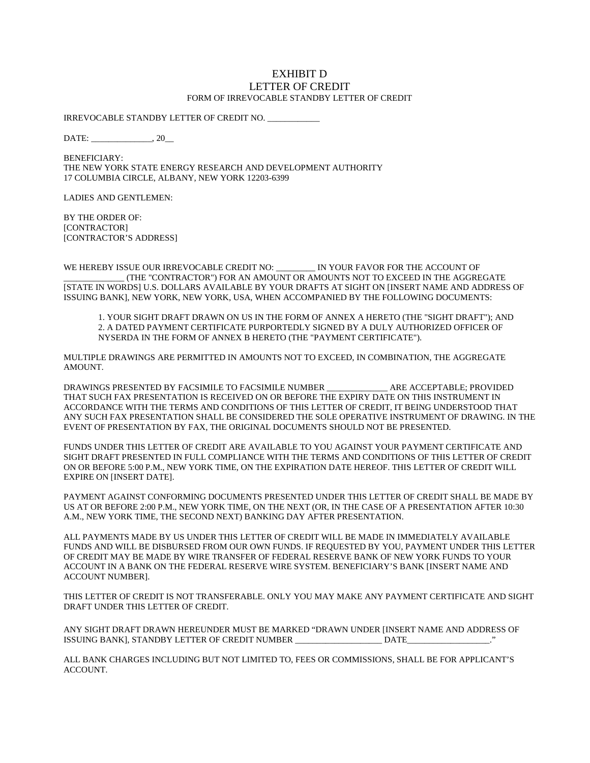#### EXHIBIT D LETTER OF CREDIT FORM OF IRREVOCABLE STANDBY LETTER OF CREDIT

IRREVOCABLE STANDBY LETTER OF CREDIT NO.

DATE: \_\_\_\_\_\_\_\_\_\_\_\_\_\_, 20\_\_

BENEFICIARY: THE NEW YORK STATE ENERGY RESEARCH AND DEVELOPMENT AUTHORITY 17 COLUMBIA CIRCLE, ALBANY, NEW YORK 12203-6399

LADIES AND GENTLEMEN:

BY THE ORDER OF: [CONTRACTOR] [CONTRACTOR'S ADDRESS]

WE HEREBY ISSUE OUR IRREVOCABLE CREDIT NO: \_\_\_\_\_\_\_\_ IN YOUR FAVOR FOR THE ACCOUNT OF \_\_\_\_\_\_\_\_\_\_\_\_\_\_ (THE "CONTRACTOR") FOR AN AMOUNT OR AMOUNTS NOT TO EXCEED IN THE AGGREGATE [STATE IN WORDS] U.S. DOLLARS AVAILABLE BY YOUR DRAFTS AT SIGHT ON [INSERT NAME AND ADDRESS OF ISSUING BANK], NEW YORK, NEW YORK, USA, WHEN ACCOMPANIED BY THE FOLLOWING DOCUMENTS:

1. YOUR SIGHT DRAFT DRAWN ON US IN THE FORM OF ANNEX A HERETO (THE "SIGHT DRAFT"); AND 2. A DATED PAYMENT CERTIFICATE PURPORTEDLY SIGNED BY A DULY AUTHORIZED OFFICER OF NYSERDA IN THE FORM OF ANNEX B HERETO (THE "PAYMENT CERTIFICATE").

MULTIPLE DRAWINGS ARE PERMITTED IN AMOUNTS NOT TO EXCEED, IN COMBINATION, THE AGGREGATE AMOUNT.

DRAWINGS PRESENTED BY FACSIMILE TO FACSIMILE NUMBER \_\_\_\_\_\_\_\_\_\_\_\_\_\_ ARE ACCEPTABLE; PROVIDED THAT SUCH FAX PRESENTATION IS RECEIVED ON OR BEFORE THE EXPIRY DATE ON THIS INSTRUMENT IN ACCORDANCE WITH THE TERMS AND CONDITIONS OF THIS LETTER OF CREDIT, IT BEING UNDERSTOOD THAT ANY SUCH FAX PRESENTATION SHALL BE CONSIDERED THE SOLE OPERATIVE INSTRUMENT OF DRAWING. IN THE EVENT OF PRESENTATION BY FAX, THE ORIGINAL DOCUMENTS SHOULD NOT BE PRESENTED.

FUNDS UNDER THIS LETTER OF CREDIT ARE AVAILABLE TO YOU AGAINST YOUR PAYMENT CERTIFICATE AND SIGHT DRAFT PRESENTED IN FULL COMPLIANCE WITH THE TERMS AND CONDITIONS OF THIS LETTER OF CREDIT ON OR BEFORE 5:00 P.M., NEW YORK TIME, ON THE EXPIRATION DATE HEREOF. THIS LETTER OF CREDIT WILL EXPIRE ON [INSERT DATE].

PAYMENT AGAINST CONFORMING DOCUMENTS PRESENTED UNDER THIS LETTER OF CREDIT SHALL BE MADE BY US AT OR BEFORE 2:00 P.M., NEW YORK TIME, ON THE NEXT (OR, IN THE CASE OF A PRESENTATION AFTER 10:30 A.M., NEW YORK TIME, THE SECOND NEXT) BANKING DAY AFTER PRESENTATION.

ALL PAYMENTS MADE BY US UNDER THIS LETTER OF CREDIT WILL BE MADE IN IMMEDIATELY AVAILABLE FUNDS AND WILL BE DISBURSED FROM OUR OWN FUNDS. IF REQUESTED BY YOU, PAYMENT UNDER THIS LETTER OF CREDIT MAY BE MADE BY WIRE TRANSFER OF FEDERAL RESERVE BANK OF NEW YORK FUNDS TO YOUR ACCOUNT IN A BANK ON THE FEDERAL RESERVE WIRE SYSTEM. BENEFICIARY'S BANK [INSERT NAME AND ACCOUNT NUMBER].

THIS LETTER OF CREDIT IS NOT TRANSFERABLE. ONLY YOU MAY MAKE ANY PAYMENT CERTIFICATE AND SIGHT DRAFT UNDER THIS LETTER OF CREDIT.

ANY SIGHT DRAFT DRAWN HEREUNDER MUST BE MARKED "DRAWN UNDER [INSERT NAME AND ADDRESS OF ISSUING BANK], STANDBY LETTER OF CREDIT NUMBER \_\_\_\_\_\_\_\_\_\_\_\_\_\_\_\_\_\_\_\_ DATE\_\_\_\_\_\_\_\_\_\_\_\_\_\_\_\_\_\_\_."

ALL BANK CHARGES INCLUDING BUT NOT LIMITED TO, FEES OR COMMISSIONS, SHALL BE FOR APPLICANT'S ACCOUNT.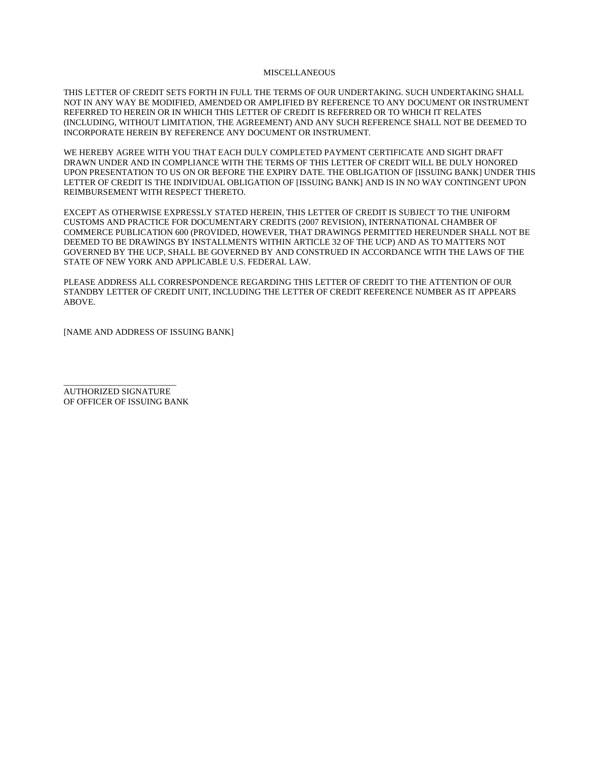#### **MISCELLANEOUS**

THIS LETTER OF CREDIT SETS FORTH IN FULL THE TERMS OF OUR UNDERTAKING. SUCH UNDERTAKING SHALL NOT IN ANY WAY BE MODIFIED, AMENDED OR AMPLIFIED BY REFERENCE TO ANY DOCUMENT OR INSTRUMENT REFERRED TO HEREIN OR IN WHICH THIS LETTER OF CREDIT IS REFERRED OR TO WHICH IT RELATES (INCLUDING, WITHOUT LIMITATION, THE AGREEMENT) AND ANY SUCH REFERENCE SHALL NOT BE DEEMED TO INCORPORATE HEREIN BY REFERENCE ANY DOCUMENT OR INSTRUMENT.

WE HEREBY AGREE WITH YOU THAT EACH DULY COMPLETED PAYMENT CERTIFICATE AND SIGHT DRAFT DRAWN UNDER AND IN COMPLIANCE WITH THE TERMS OF THIS LETTER OF CREDIT WILL BE DULY HONORED UPON PRESENTATION TO US ON OR BEFORE THE EXPIRY DATE. THE OBLIGATION OF [ISSUING BANK] UNDER THIS LETTER OF CREDIT IS THE INDIVIDUAL OBLIGATION OF [ISSUING BANK] AND IS IN NO WAY CONTINGENT UPON REIMBURSEMENT WITH RESPECT THERETO.

EXCEPT AS OTHERWISE EXPRESSLY STATED HEREIN, THIS LETTER OF CREDIT IS SUBJECT TO THE UNIFORM CUSTOMS AND PRACTICE FOR DOCUMENTARY CREDITS (2007 REVISION), INTERNATIONAL CHAMBER OF COMMERCE PUBLICATION 600 (PROVIDED, HOWEVER, THAT DRAWINGS PERMITTED HEREUNDER SHALL NOT BE DEEMED TO BE DRAWINGS BY INSTALLMENTS WITHIN ARTICLE 32 OF THE UCP) AND AS TO MATTERS NOT GOVERNED BY THE UCP, SHALL BE GOVERNED BY AND CONSTRUED IN ACCORDANCE WITH THE LAWS OF THE STATE OF NEW YORK AND APPLICABLE U.S. FEDERAL LAW.

PLEASE ADDRESS ALL CORRESPONDENCE REGARDING THIS LETTER OF CREDIT TO THE ATTENTION OF OUR STANDBY LETTER OF CREDIT UNIT, INCLUDING THE LETTER OF CREDIT REFERENCE NUMBER AS IT APPEARS ABOVE.

[NAME AND ADDRESS OF ISSUING BANK]

\_\_\_\_\_\_\_\_\_\_\_\_\_\_\_\_\_\_\_\_\_\_\_\_\_\_ AUTHORIZED SIGNATURE OF OFFICER OF ISSUING BANK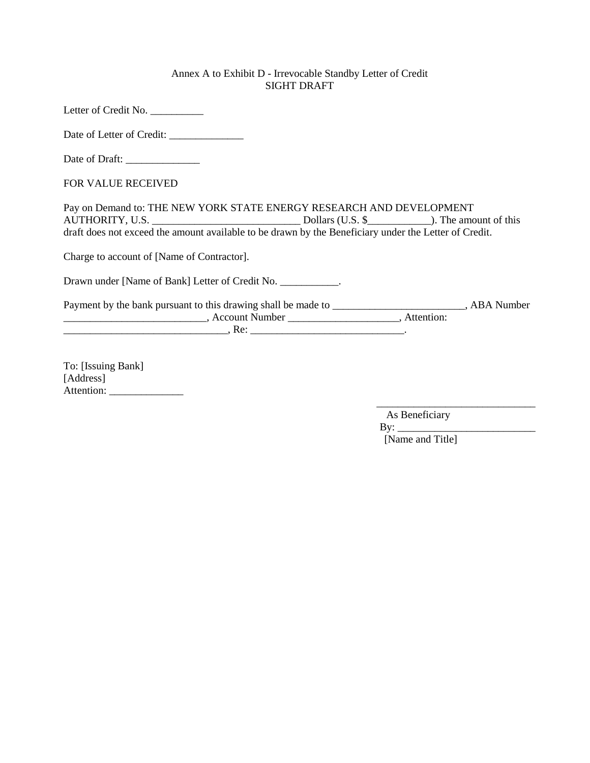### Annex A to Exhibit D - Irrevocable Standby Letter of Credit SIGHT DRAFT

Letter of Credit No. \_\_\_\_\_\_\_\_\_\_\_

Date of Letter of Credit: \_\_\_\_\_\_\_\_\_\_\_\_\_\_

Date of Draft: \_\_\_\_\_\_\_\_\_\_\_\_\_\_

FOR VALUE RECEIVED

Pay on Demand to: THE NEW YORK STATE ENERGY RESEARCH AND DEVELOPMENT AUTHORITY, U.S. \_\_\_\_\_\_\_\_\_\_\_\_\_\_\_\_\_\_\_\_\_\_\_\_\_\_\_\_ Dollars (U.S. \$\_\_\_\_\_\_\_\_\_\_\_\_). The amount of this draft does not exceed the amount available to be drawn by the Beneficiary under the Letter of Credit.

Charge to account of [Name of Contractor].

Drawn under [Name of Bank] Letter of Credit No. \_\_\_\_\_\_\_\_\_\_\_\_.

Payment by the bank pursuant to this drawing shall be made to \_\_\_\_\_\_\_\_\_\_\_\_\_\_\_\_\_\_\_\_\_\_\_, ABA Number \_\_\_\_\_\_\_\_\_\_\_\_\_\_\_\_\_\_\_\_\_\_\_\_\_\_\_, Account Number \_\_\_\_\_\_\_\_\_\_\_\_\_\_\_\_\_\_\_\_\_, Attention: \_\_\_\_\_\_\_\_\_\_\_\_\_\_\_\_\_\_\_\_\_\_\_\_\_\_\_\_\_\_\_, Re: \_\_\_\_\_\_\_\_\_\_\_\_\_\_\_\_\_\_\_\_\_\_\_\_\_\_\_\_\_.

To: [Issuing Bank] [Address] Attention:

> $\overline{\phantom{a}}$  , and the contract of the contract of the contract of the contract of the contract of the contract of the contract of the contract of the contract of the contract of the contract of the contract of the contrac As Beneficiary  $\mathbf{By:} \_\_$ [Name and Title]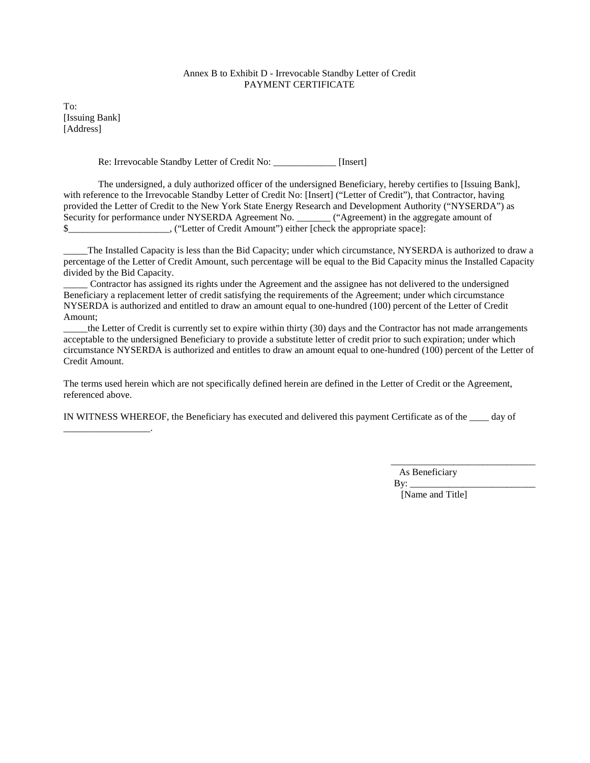#### Annex B to Exhibit D - Irrevocable Standby Letter of Credit PAYMENT CERTIFICATE

To: [Issuing Bank] [Address]

\_\_\_\_\_\_\_\_\_\_\_\_\_\_\_\_\_\_.

Re: Irrevocable Standby Letter of Credit No: \_\_\_\_\_\_\_\_\_\_\_\_\_ [Insert]

The undersigned, a duly authorized officer of the undersigned Beneficiary, hereby certifies to [Issuing Bank], with reference to the Irrevocable Standby Letter of Credit No: [Insert] ("Letter of Credit"), that Contractor, having provided the Letter of Credit to the New York State Energy Research and Development Authority ("NYSERDA") as Security for performance under NYSERDA Agreement No. \_\_\_\_\_\_\_ ("Agreement) in the aggregate amount of \$\_\_\_\_\_\_\_\_\_\_\_\_\_\_\_\_\_\_\_\_\_, ("Letter of Credit Amount") either [check the appropriate space]:

The Installed Capacity is less than the Bid Capacity; under which circumstance, NYSERDA is authorized to draw a percentage of the Letter of Credit Amount, such percentage will be equal to the Bid Capacity minus the Installed Capacity divided by the Bid Capacity.

\_\_\_\_\_ Contractor has assigned its rights under the Agreement and the assignee has not delivered to the undersigned Beneficiary a replacement letter of credit satisfying the requirements of the Agreement; under which circumstance NYSERDA is authorized and entitled to draw an amount equal to one-hundred (100) percent of the Letter of Credit Amount;

\_\_\_\_\_the Letter of Credit is currently set to expire within thirty (30) days and the Contractor has not made arrangements acceptable to the undersigned Beneficiary to provide a substitute letter of credit prior to such expiration; under which circumstance NYSERDA is authorized and entitles to draw an amount equal to one-hundred (100) percent of the Letter of Credit Amount.

The terms used herein which are not specifically defined herein are defined in the Letter of Credit or the Agreement, referenced above.

IN WITNESS WHEREOF, the Beneficiary has executed and delivered this payment Certificate as of the \_\_\_\_ day of

\_\_\_\_\_\_\_\_\_\_\_\_\_\_\_\_\_\_\_\_\_\_\_\_\_\_\_\_\_\_ As Beneficiary

 $\mathbf{B}v$ : [Name and Title]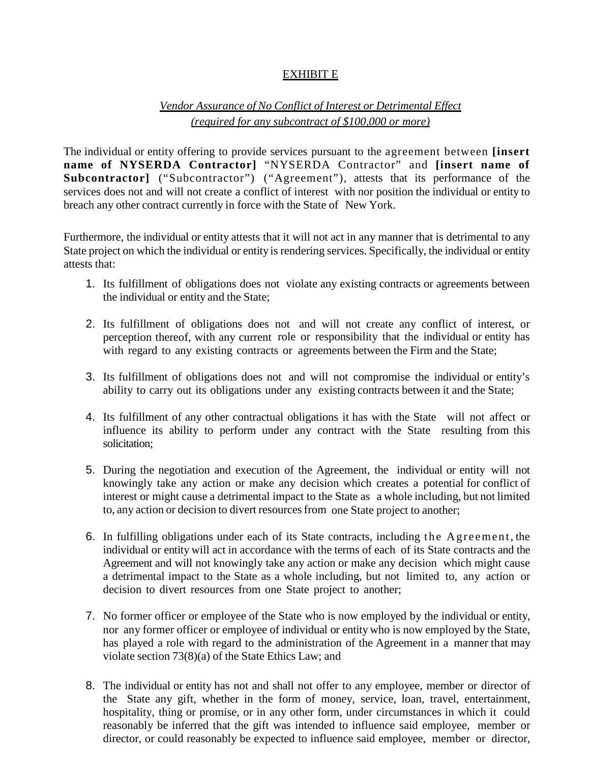# EXHIBIT E

# *Vendor Assurance of No Conflict of Interest or Detrimental Effect (required for any subcontract of \$100,000 or more)*

The individual or entity offering to provide services pursuant to the agreement between **[insert name of NYSERDA Contractor]** "NYSERDA Contractor" and **[insert name of**  Subcontractor] ("Subcontractor") ("Agreement"), attests that its performance of the services does not and will not create a conflict of interest with nor position the individual or entity to breach any other contract currently in force with the State of New York.

Furthermore, the individual or entity attests that it will not act in any manner that is detrimental to any State project on which the individual or entity is rendering services. Specifically, the individual or entity attests that:

- 1. Its fulfillment of obligations does not violate any existing contracts or agreements between the individual or entity and the State;
- 2. Its fulfillment of obligations does not and will not create any conflict of interest, or perception thereof, with any current role or responsibility that the individual or entity has with regard to any existing contracts or agreements between the Firm and the State;
- 3. Its fulfillment of obligations does not and will not compromise the individual or entity's ability to carry out its obligations under any existing contracts between it and the State;
- 4. Its fulfillment of any other contractual obligations it has with the State will not affect or influence its ability to perform under any contract with the State resulting from this solicitation;
- 5. During the negotiation and execution of the Agreement, the individual or entity will not knowingly take any action or make any decision which creates a potential for conflict of interest or might cause a detrimental impact to the State as a whole including, but not limited to, any action or decision to divert resources from one State project to another;
- 6. In fulfilling obligations under each of its State contracts, including the Agreement, the individual or entity will act in accordance with the terms of each of its State contracts and the Agreement and will not knowingly take any action or make any decision which might cause a detrimental impact to the State as a whole including, but not limited to, any action or decision to divert resources from one State project to another;
- 7. No former officer or employee of the State who is now employed by the individual or entity, nor any former officer or employee of individual or entity who is now employed by the State, has played a role with regard to the administration of the Agreement in a manner that may violate section 73(8)(a) of the State Ethics Law; and
- 8. The individual or entity has not and shall not offer to any employee, member or director of the State any gift, whether in the form of money, service, loan, travel, entertainment, hospitality, thing or promise, or in any other form, under circumstances in which it could reasonably be inferred that the gift was intended to influence said employee, member or director, or could reasonably be expected to influence said employee, member or director,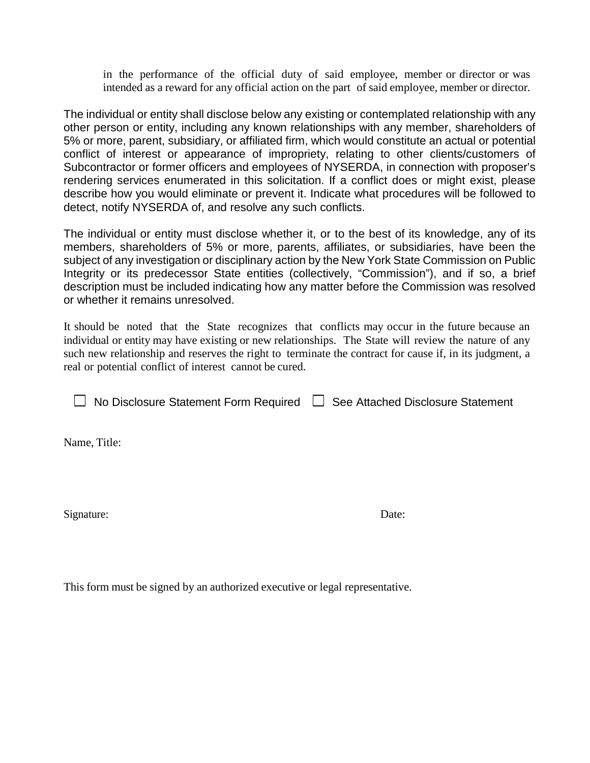in the performance of the official duty of said employee, member or director or was intended as a reward for any official action on the part of said employee, member or director.

The individual or entity shall disclose below any existing or contemplated relationship with any other person or entity, including any known relationships with any member, shareholders of 5% or more, parent, subsidiary, or affiliated firm, which would constitute an actual or potential conflict of interest or appearance of impropriety, relating to other clients/customers of Subcontractor or former officers and employees of NYSERDA, in connection with proposer's rendering services enumerated in this solicitation. If a conflict does or might exist, please describe how you would eliminate or prevent it. Indicate what procedures will be followed to detect, notify NYSERDA of, and resolve any such conflicts.

The individual or entity must disclose whether it, or to the best of its knowledge, any of its members, shareholders of 5% or more, parents, affiliates, or subsidiaries, have been the subject of any investigation or disciplinary action by the New York State Commission on Public Integrity or its predecessor State entities (collectively, "Commission"), and if so, a brief description must be included indicating how any matter before the Commission was resolved or whether it remains unresolved.

It should be noted that the State recognizes that conflicts may occur in the future because an individual or entity may have existing or new relationships. The State will review the nature of any such new relationship and reserves the right to terminate the contract for cause if, in its judgment, a real or potential conflict of interest cannot be cured.

 $\Box$  No Disclosure Statement Form Required  $\Box$  See Attached Disclosure Statement

Name, Title:

Signature: Date: Date:

This form must be signed by an authorized executive or legal representative.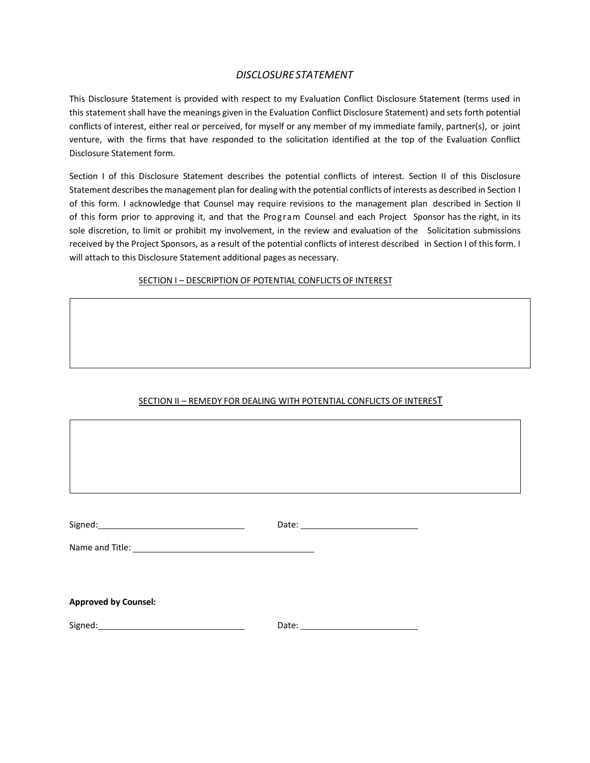### *DISCLOSURESTATEMENT*

This Disclosure Statement is provided with respect to my Evaluation Conflict Disclosure Statement (terms used in this statement shall have the meanings given in the Evaluation Conflict Disclosure Statement) and sets forth potential conflicts of interest, either real or perceived, for myself or any member of my immediate family, partner(s), or joint venture, with the firms that have responded to the solicitation identified at the top of the Evaluation Conflict Disclosure Statement form.

Section I of this Disclosure Statement describes the potential conflicts of interest. Section II of this Disclosure Statement describes the management plan for dealing with the potential conflicts of interests as described in Section I of this form. I acknowledge that Counsel may require revisions to the management plan described in Section II of this form prior to approving it, and that the Program Counsel and each Project Sponsor has the right, in its sole discretion, to limit or prohibit my involvement, in the review and evaluation of the Solicitation submissions received by the Project Sponsors, as a result of the potential conflicts of interest described in Section I of this form. I will attach to this Disclosure Statement additional pages as necessary.

### SECTION I - DESCRIPTION OF POTENTIAL CONFLICTS OF INTEREST

# SECTION II - REMEDY FOR DEALING WITH POTENTIAL CONFLICTS OF INTEREST

| <b>Approved by Counsel:</b>                                                                                                                                                                                                    |  |
|--------------------------------------------------------------------------------------------------------------------------------------------------------------------------------------------------------------------------------|--|
| Signed: Signed: Signed: Signed: Signed: Signed: Signed: Signed: Signed: Signed: Signed: Signed: Signed: Signed: Signed: Signed: Signed: Signed: Signed: Signed: Signed: Signed: Signed: Signed: Signed: Signed: Signed: Signed |  |